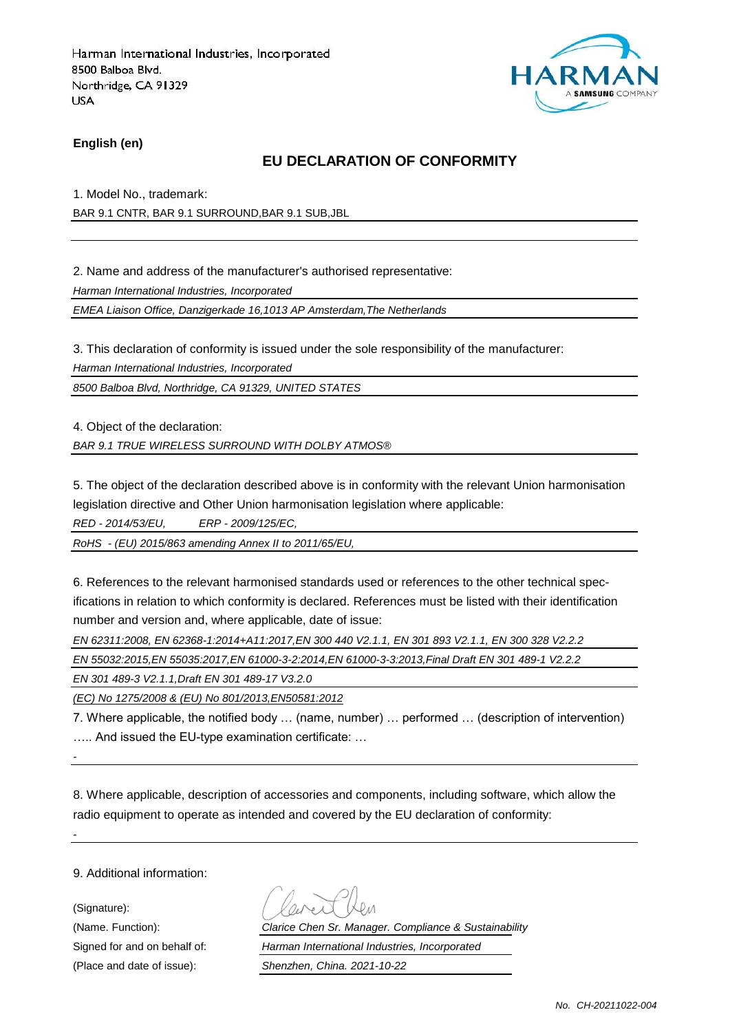

**English (en)**

## **EU DECLARATION OF CONFORMITY**

1. Model No., trademark:

BAR 9.1 CNTR, BAR 9.1 SURROUND,BAR 9.1 SUB,JBL

2. Name and address of the manufacturer's authorised representative:

*Harman International Industries, Incorporated*

*EMEA Liaison Office, Danzigerkade 16,1013 AP Amsterdam,The Netherlands*

3. This declaration of conformity is issued under the sole responsibility of the manufacturer:

*Harman International Industries, Incorporated*

*8500 Balboa Blvd, Northridge, CA 91329, UNITED STATES*

4. Object of the declaration:

*BAR 9.1 TRUE WIRELESS SURROUND WITH DOLBY ATMOS®*

5. The object of the declaration described above is in conformity with the relevant Union harmonisation legislation directive and Other Union harmonisation legislation where applicable:

*RED - 2014/53/EU, ERP - 2009/125/EC,*

*RoHS - (EU) 2015/863 amending Annex II to 2011/65/EU,*

6. References to the relevant harmonised standards used or references to the other technical specifications in relation to which conformity is declared. References must be listed with their identification number and version and, where applicable, date of issue:

*EN 62311:2008, EN 62368-1:2014+A11:2017,EN 300 440 V2.1.1, EN 301 893 V2.1.1, EN 300 328 V2.2.2*

*EN 55032:2015,EN 55035:2017,EN 61000-3-2:2014,EN 61000-3-3:2013,Final Draft EN 301 489-1 V2.2.2*

*EN 301 489-3 V2.1.1,Draft EN 301 489-17 V3.2.0*

*(EC) No 1275/2008 & (EU) No 801/2013,EN50581:2012*

7. Where applicable, the notified body … (name, number) … performed … (description of intervention) ….. And issued the EU-type examination certificate: …

*-*

*-*

8. Where applicable, description of accessories and components, including software, which allow the radio equipment to operate as intended and covered by the EU declaration of conformity:

9. Additional information:

(Signature):

(Name. Function): *Clarice Chen Sr. Manager. Compliance & Sustainability* Signed for and on behalf of: *Harman International Industries, Incorporated* (Place and date of issue): *Shenzhen, China. 2021-10-22*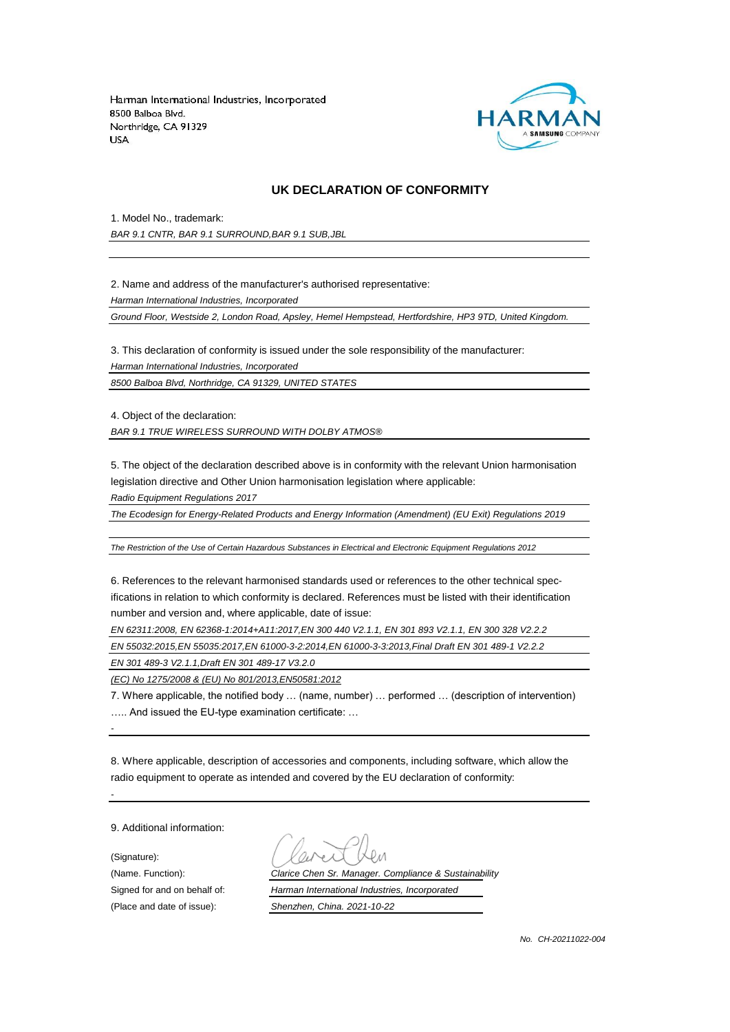

#### **UK DECLARATION OF CONFORMITY**

1. Model No., trademark:

*BAR 9.1 CNTR, BAR 9.1 SURROUND,BAR 9.1 SUB,JBL*

2. Name and address of the manufacturer's authorised representative:

*Harman International Industries, Incorporated*

*Ground Floor, Westside 2, London Road, Apsley, Hemel Hempstead, Hertfordshire, HP3 9TD, United Kingdom.*

3. This declaration of conformity is issued under the sole responsibility of the manufacturer:

*Harman International Industries, Incorporated*

*8500 Balboa Blvd, Northridge, CA 91329, UNITED STATES*

4. Object of the declaration:

*BAR 9.1 TRUE WIRELESS SURROUND WITH DOLBY ATMOS®*

5. The object of the declaration described above is in conformity with the relevant Union harmonisation legislation directive and Other Union harmonisation legislation where applicable:

*Radio Equipment Regulations 2017*

*The Ecodesign for Energy-Related Products and Energy Information (Amendment) (EU Exit) Regulations 2019*

*The Restriction of the Use of Certain Hazardous Substances in Electrical and Electronic Equipment Regulations 2012*

6. References to the relevant harmonised standards used or references to the other technical specifications in relation to which conformity is declared. References must be listed with their identification number and version and, where applicable, date of issue:

*EN 62311:2008, EN 62368-1:2014+A11:2017,EN 300 440 V2.1.1, EN 301 893 V2.1.1, EN 300 328 V2.2.2*

*EN 55032:2015,EN 55035:2017,EN 61000-3-2:2014,EN 61000-3-3:2013,Final Draft EN 301 489-1 V2.2.2*

*EN 301 489-3 V2.1.1,Draft EN 301 489-17 V3.2.0*

*(EC) No 1275/2008 & (EU) No 801/2013,EN50581:2012*

7. Where applicable, the notified body … (name, number) … performed … (description of intervention) ….. And issued the EU-type examination certificate: …

8. Where applicable, description of accessories and components, including software, which allow the radio equipment to operate as intended and covered by the EU declaration of conformity:

9. Additional information:

(Signature):

*-*

*-*

(Place and date of issue): *Shenzhen, China. 2021-10-22*

(Name. Function): *Clarice Chen Sr. Manager. Compliance & Sustainability* Signed for and on behalf of: *Harman International Industries, Incorporated*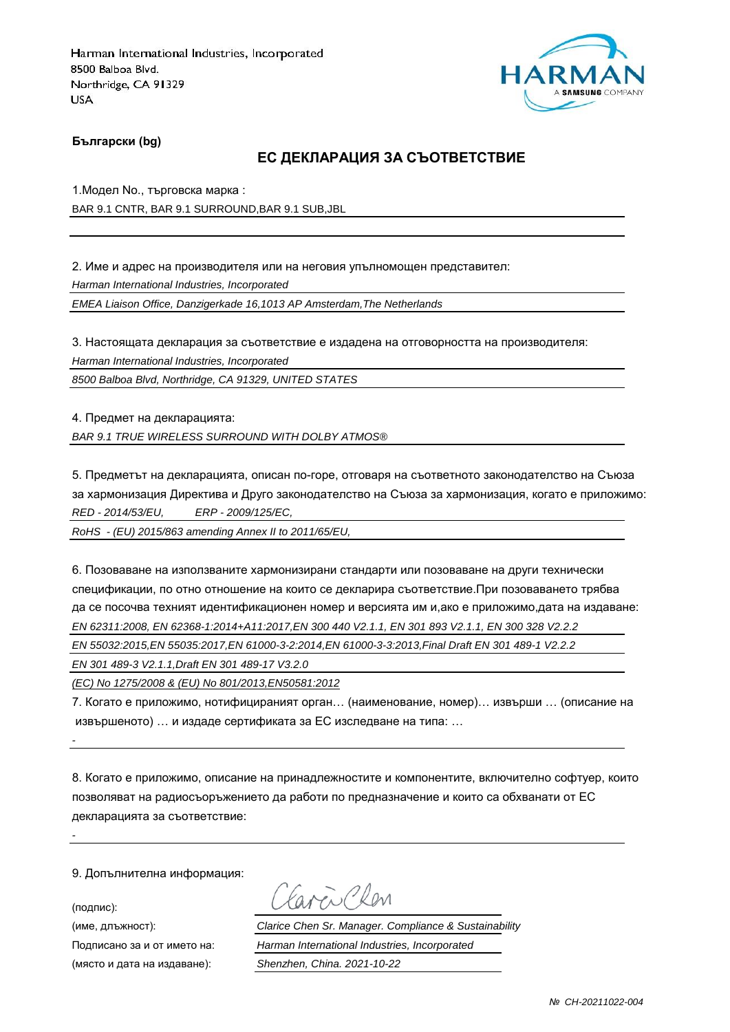

**Български (bg)**

### **ЕС ДЕКЛАРАЦИЯ ЗА СЪОТВЕТСТВИЕ**

1.Модел No., търговска марка : BAR 9.1 CNTR, BAR 9.1 SURROUND,BAR 9.1 SUB,JBL

2. Име и адрес на производителя или на неговия упълномощен представител:

*Harman International Industries, Incorporated*

*EMEA Liaison Office, Danzigerkade 16,1013 AP Amsterdam,The Netherlands*

3. Настоящата декларация за съответствие е издадена на отговорността на производителя:

*Harman International Industries, Incorporated*

*8500 Balboa Blvd, Northridge, CA 91329, UNITED STATES*

4. Предмет на декларацията: *BAR 9.1 TRUE WIRELESS SURROUND WITH DOLBY ATMOS®*

5. Предметът на декларацията, описан по-горе, отговаря на съответното законодателство на Съюза за хармонизация Директива и Друго законодателство на Съюза за хармонизация, когато е приложимо: *RED - 2014/53/EU, ERP - 2009/125/EC,*

*RoHS - (EU) 2015/863 amending Annex II to 2011/65/EU,*

6. Позоваване на използваните хармонизирани стандарти или позоваване на други технически спецификации, по отно отношение на които се декларира съответствие.При позоваването трябва да се посочва техният идентификационен номер и версията им и,ако е приложимо,дата на издаване: *EN 62311:2008, EN 62368-1:2014+A11:2017,EN 300 440 V2.1.1, EN 301 893 V2.1.1, EN 300 328 V2.2.2*

*EN 55032:2015,EN 55035:2017,EN 61000-3-2:2014,EN 61000-3-3:2013,Final Draft EN 301 489-1 V2.2.2*

*EN 301 489-3 V2.1.1,Draft EN 301 489-17 V3.2.0*

*(EC) No 1275/2008 & (EU) No 801/2013,EN50581:2012*

7. Когато е приложимо, нотифицираният орган… (наименование, номер)… извърши … (описание на извършеното) … и издаде сертификата за ЕС изследване на типа: …

8. Когато е приложимо, описание на принадлежностите и компонентите, включително софтуер, които позволяват на радиосъоръжението да работи по предназначение и които са обхванати от ЕС декларацията за съответствие:

9. Допълнителна информация:

(подпис):

*-*

*-*

avenChan

(име, длъжност): *Clarice Chen Sr. Manager. Compliance & Sustainability* Подписано за и от името на: *Harman International Industries, Incorporated* (място и дата на издаване): *Shenzhen, China. 2021-10-22*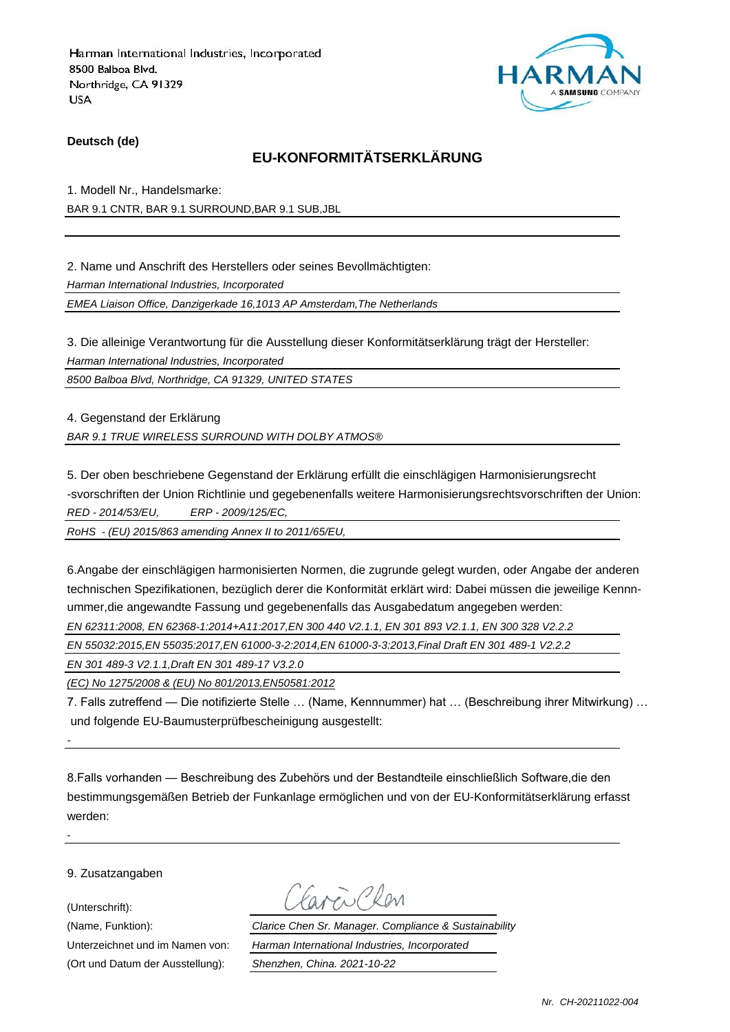

#### **Deutsch (de)**

## **EU-KONFORMITÄTSERKLÄRUNG**

1. Modell Nr., Handelsmarke: BAR 9.1 CNTR, BAR 9.1 SURROUND,BAR 9.1 SUB,JBL

2. Name und Anschrift des Herstellers oder seines Bevollmächtigten:

*Harman International Industries, Incorporated*

*EMEA Liaison Office, Danzigerkade 16,1013 AP Amsterdam,The Netherlands*

3. Die alleinige Verantwortung für die Ausstellung dieser Konformitätserklärung trägt der Hersteller:

*Harman International Industries, Incorporated*

*8500 Balboa Blvd, Northridge, CA 91329, UNITED STATES*

4. Gegenstand der Erklärung *BAR 9.1 TRUE WIRELESS SURROUND WITH DOLBY ATMOS®*

5. Der oben beschriebene Gegenstand der Erklärung erfüllt die einschlägigen Harmonisierungsrecht -svorschriften der Union Richtlinie und gegebenenfalls weitere Harmonisierungsrechtsvorschriften der Union: *RED - 2014/53/EU, ERP - 2009/125/EC,*

*RoHS - (EU) 2015/863 amending Annex II to 2011/65/EU,*

6.Angabe der einschlägigen harmonisierten Normen, die zugrunde gelegt wurden, oder Angabe der anderen technischen Spezifikationen, bezüglich derer die Konformität erklärt wird: Dabei müssen die jeweilige Kennnummer,die angewandte Fassung und gegebenenfalls das Ausgabedatum angegeben werden:

*EN 62311:2008, EN 62368-1:2014+A11:2017,EN 300 440 V2.1.1, EN 301 893 V2.1.1, EN 300 328 V2.2.2*

*EN 55032:2015,EN 55035:2017,EN 61000-3-2:2014,EN 61000-3-3:2013,Final Draft EN 301 489-1 V2.2.2*

*EN 301 489-3 V2.1.1,Draft EN 301 489-17 V3.2.0*

*(EC) No 1275/2008 & (EU) No 801/2013,EN50581:2012*

7. Falls zutreffend — Die notifizierte Stelle … (Name, Kennnummer) hat … (Beschreibung ihrer Mitwirkung) … und folgende EU-Baumusterprüfbescheinigung ausgestellt:

8.Falls vorhanden — Beschreibung des Zubehörs und der Bestandteile einschließlich Software,die den bestimmungsgemäßen Betrieb der Funkanlage ermöglichen und von der EU-Konformitätserklärung erfasst werden:

9. Zusatzangaben

(Unterschrift):

*-*

*-*

(Ort und Datum der Ausstellung): *Shenzhen, China. 2021-10-22*

Mi Plan

(Name, Funktion): *Clarice Chen Sr. Manager. Compliance & Sustainability* Unterzeichnet und im Namen von: *Harman International Industries, Incorporated*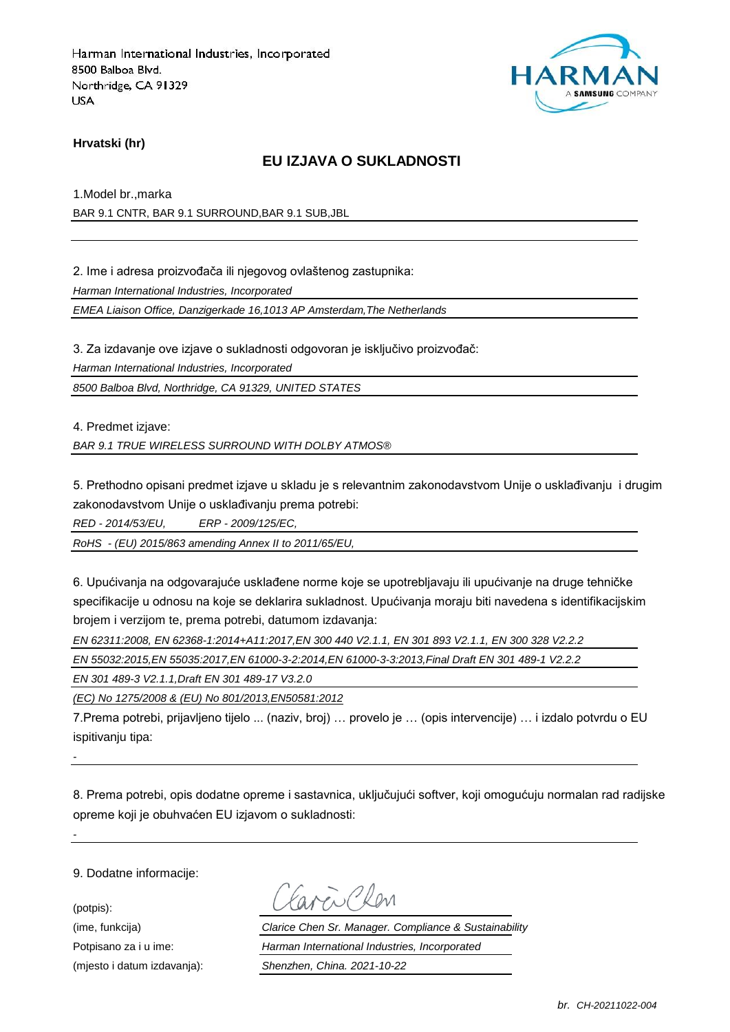

### **Hrvatski (hr)**

### **EU IZJAVA O SUKLADNOSTI**

1.Model br.,marka

BAR 9.1 CNTR, BAR 9.1 SURROUND,BAR 9.1 SUB,JBL

2. Ime i adresa proizvođača ili njegovog ovlaštenog zastupnika:

*Harman International Industries, Incorporated*

*EMEA Liaison Office, Danzigerkade 16,1013 AP Amsterdam,The Netherlands*

3. Za izdavanje ove izjave o sukladnosti odgovoran je isključivo proizvođač:

*Harman International Industries, Incorporated*

*8500 Balboa Blvd, Northridge, CA 91329, UNITED STATES*

4. Predmet izjave:

*BAR 9.1 TRUE WIRELESS SURROUND WITH DOLBY ATMOS®*

5. Prethodno opisani predmet izjave u skladu je s relevantnim zakonodavstvom Unije o usklađivanju i drugim zakonodavstvom Unije o usklađivanju prema potrebi:

*RED - 2014/53/EU, ERP - 2009/125/EC,*

*RoHS - (EU) 2015/863 amending Annex II to 2011/65/EU,*

6. Upućivanja na odgovarajuće usklađene norme koje se upotrebljavaju ili upućivanje na druge tehničke specifikacije u odnosu na koje se deklarira sukladnost. Upućivanja moraju biti navedena s identifikacijskim brojem i verzijom te, prema potrebi, datumom izdavanja:

*EN 62311:2008, EN 62368-1:2014+A11:2017,EN 300 440 V2.1.1, EN 301 893 V2.1.1, EN 300 328 V2.2.2*

*EN 55032:2015,EN 55035:2017,EN 61000-3-2:2014,EN 61000-3-3:2013,Final Draft EN 301 489-1 V2.2.2*

*EN 301 489-3 V2.1.1,Draft EN 301 489-17 V3.2.0*

*(EC) No 1275/2008 & (EU) No 801/2013,EN50581:2012*

7.Prema potrebi, prijavljeno tijelo ... (naziv, broj) … provelo je … (opis intervencije) … i izdalo potvrdu o EU ispitivaniu tipa:

*-*

*-*

8. Prema potrebi, opis dodatne opreme i sastavnica, uključujući softver, koji omogućuju normalan rad radijske opreme koji je obuhvaćen EU izjavom o sukladnosti:

9. Dodatne informacije:

(potpis):

Favor Chen

(ime, funkcija) *Clarice Chen Sr. Manager. Compliance & Sustainability* Potpisano za i u ime: *Harman International Industries, Incorporated* (mjesto i datum izdavanja): *Shenzhen, China. 2021-10-22*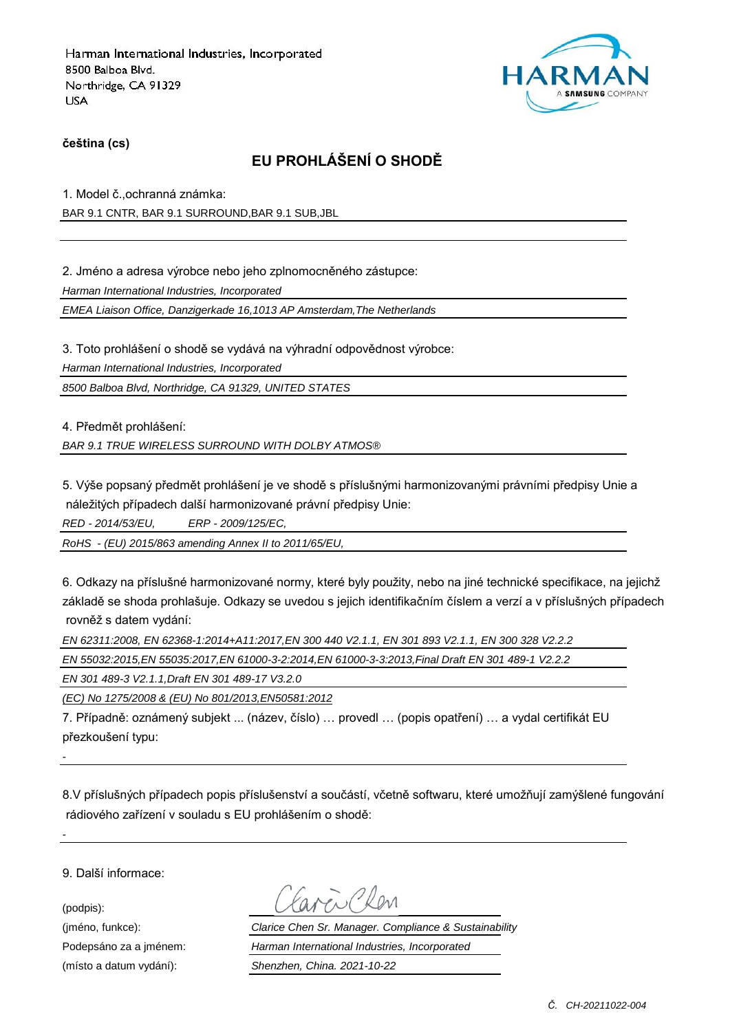

### **čeština (cs)**

# **EU PROHLÁŠENÍ O SHODĚ**

1. Model č.,ochranná známka:

BAR 9.1 CNTR, BAR 9.1 SURROUND,BAR 9.1 SUB,JBL

2. Jméno a adresa výrobce nebo jeho zplnomocněného zástupce:

*Harman International Industries, Incorporated*

*EMEA Liaison Office, Danzigerkade 16,1013 AP Amsterdam,The Netherlands*

3. Toto prohlášení o shodě se vydává na výhradní odpovědnost výrobce:

*Harman International Industries, Incorporated*

*8500 Balboa Blvd, Northridge, CA 91329, UNITED STATES*

4. Předmět prohlášení:

*BAR 9.1 TRUE WIRELESS SURROUND WITH DOLBY ATMOS®*

5. Výše popsaný předmět prohlášení je ve shodě s příslušnými harmonizovanými právními předpisy Unie a náležitých případech další harmonizované právní předpisy Unie:

*RED - 2014/53/EU, ERP - 2009/125/EC,*

*RoHS - (EU) 2015/863 amending Annex II to 2011/65/EU,*

6. Odkazy na příslušné harmonizované normy, které byly použity, nebo na jiné technické specifikace, na jejichž základě se shoda prohlašuje. Odkazy se uvedou s jejich identifikačním číslem a verzí a v příslušných případech rovněž s datem vydání:

*EN 62311:2008, EN 62368-1:2014+A11:2017,EN 300 440 V2.1.1, EN 301 893 V2.1.1, EN 300 328 V2.2.2*

*EN 55032:2015,EN 55035:2017,EN 61000-3-2:2014,EN 61000-3-3:2013,Final Draft EN 301 489-1 V2.2.2*

*EN 301 489-3 V2.1.1,Draft EN 301 489-17 V3.2.0*

*(EC) No 1275/2008 & (EU) No 801/2013,EN50581:2012*

7. Případně: oznámený subjekt ... (název, číslo) … provedl … (popis opatření) … a vydal certifikát EU přezkoušení typu:

8.V příslušných případech popis příslušenství a součástí, včetně softwaru, které umožňují zamýšlené fungování rádiového zařízení v souladu s EU prohlášením o shodě:

9. Další informace:

(podpis):

*-*

*-*

(jméno, funkce): *Clarice Chen Sr. Manager. Compliance & Sustainability* Podepsáno za a jménem: *Harman International Industries, Incorporated* (místo a datum vydání): *Shenzhen, China. 2021-10-22*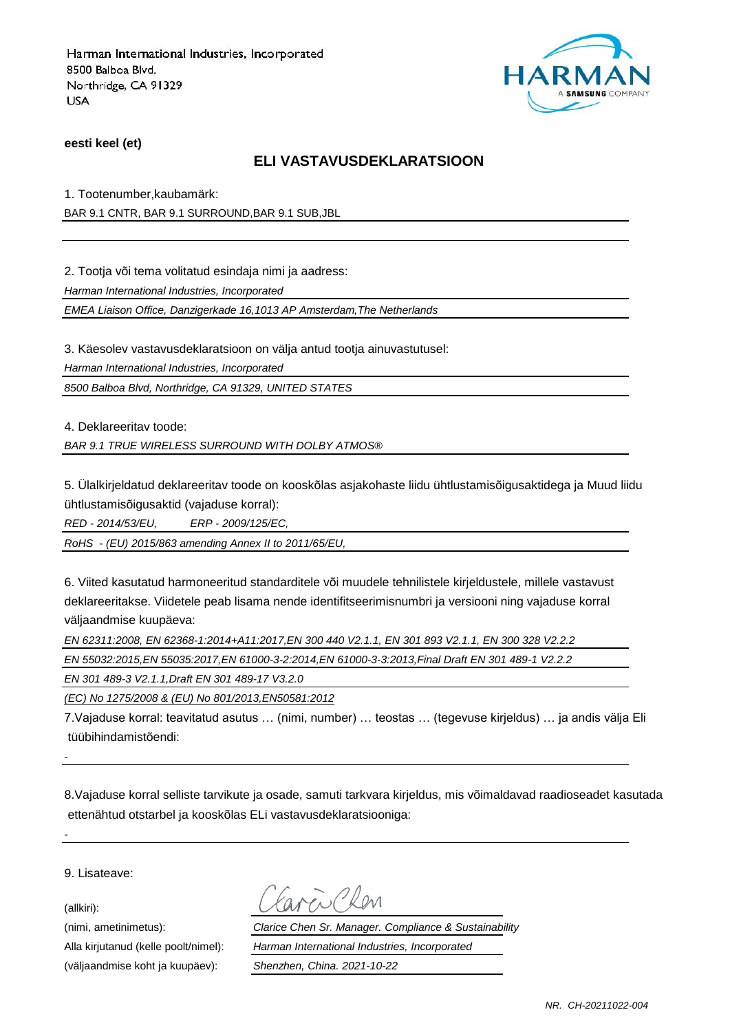

**eesti keel (et)**

### **ELI VASTAVUSDEKLARATSIOON**

1. Tootenumber,kaubamärk:

BAR 9.1 CNTR, BAR 9.1 SURROUND,BAR 9.1 SUB,JBL

2. Tootja või tema volitatud esindaja nimi ja aadress:

*Harman International Industries, Incorporated*

*EMEA Liaison Office, Danzigerkade 16,1013 AP Amsterdam,The Netherlands*

3. Käesolev vastavusdeklaratsioon on välja antud tootja ainuvastutusel:

*Harman International Industries, Incorporated*

*8500 Balboa Blvd, Northridge, CA 91329, UNITED STATES*

4. Deklareeritav toode:

*BAR 9.1 TRUE WIRELESS SURROUND WITH DOLBY ATMOS®*

5. Ülalkirjeldatud deklareeritav toode on kooskõlas asjakohaste liidu ühtlustamisõigusaktidega ja Muud liidu ühtlustamisõigusaktid (vajaduse korral):

*RED - 2014/53/EU, ERP - 2009/125/EC,*

*RoHS - (EU) 2015/863 amending Annex II to 2011/65/EU,*

6. Viited kasutatud harmoneeritud standarditele või muudele tehnilistele kirjeldustele, millele vastavust deklareeritakse. Viidetele peab lisama nende identifitseerimisnumbri ja versiooni ning vajaduse korral väljaandmise kuupäeva:

*EN 62311:2008, EN 62368-1:2014+A11:2017,EN 300 440 V2.1.1, EN 301 893 V2.1.1, EN 300 328 V2.2.2*

*EN 55032:2015,EN 55035:2017,EN 61000-3-2:2014,EN 61000-3-3:2013,Final Draft EN 301 489-1 V2.2.2*

*EN 301 489-3 V2.1.1,Draft EN 301 489-17 V3.2.0*

*(EC) No 1275/2008 & (EU) No 801/2013,EN50581:2012*

7.Vajaduse korral: teavitatud asutus … (nimi, number) … teostas … (tegevuse kirjeldus) … ja andis välja Eli tüübihindamistõendi:

8.Vajaduse korral selliste tarvikute ja osade, samuti tarkvara kirjeldus, mis võimaldavad raadioseadet kasutada ettenähtud otstarbel ja kooskõlas ELi vastavusdeklaratsiooniga:

9. Lisateave:

(allkiri):

*-*

*-*

(väljaandmise koht ja kuupäev): *Shenzhen, China. 2021-10-22*

(nimi, ametinimetus): *Clarice Chen Sr. Manager. Compliance & Sustainability* Alla kirjutanud (kelle poolt/nimel): *Harman International Industries, Incorporated*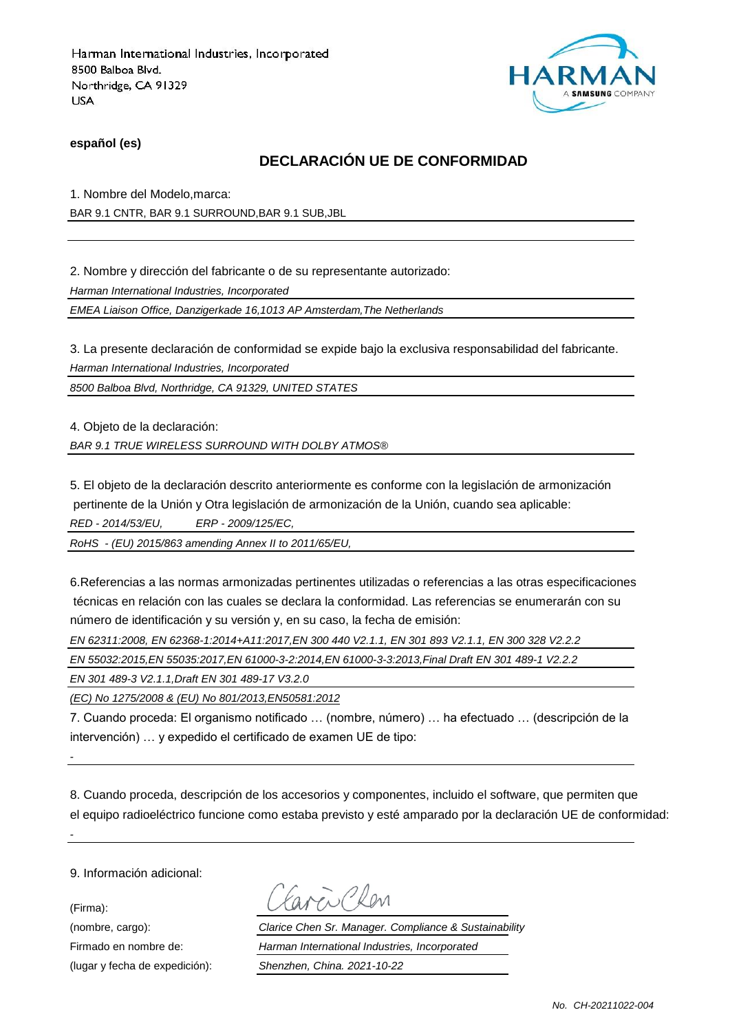

**español (es)**

## **DECLARACIÓN UE DE CONFORMIDAD**

1. Nombre del Modelo,marca:

BAR 9.1 CNTR, BAR 9.1 SURROUND,BAR 9.1 SUB,JBL

2. Nombre y dirección del fabricante o de su representante autorizado:

*Harman International Industries, Incorporated*

*EMEA Liaison Office, Danzigerkade 16,1013 AP Amsterdam,The Netherlands*

3. La presente declaración de conformidad se expide bajo la exclusiva responsabilidad del fabricante.

*Harman International Industries, Incorporated*

*8500 Balboa Blvd, Northridge, CA 91329, UNITED STATES*

4. Objeto de la declaración:

*BAR 9.1 TRUE WIRELESS SURROUND WITH DOLBY ATMOS®*

5. El objeto de la declaración descrito anteriormente es conforme con la legislación de armonización pertinente de la Unión y Otra legislación de armonización de la Unión, cuando sea aplicable: *RED - 2014/53/EU, ERP - 2009/125/EC,*

*RoHS - (EU) 2015/863 amending Annex II to 2011/65/EU,*

6.Referencias a las normas armonizadas pertinentes utilizadas o referencias a las otras especificaciones técnicas en relación con las cuales se declara la conformidad. Las referencias se enumerarán con su número de identificación y su versión y, en su caso, la fecha de emisión:

*EN 62311:2008, EN 62368-1:2014+A11:2017,EN 300 440 V2.1.1, EN 301 893 V2.1.1, EN 300 328 V2.2.2*

*EN 55032:2015,EN 55035:2017,EN 61000-3-2:2014,EN 61000-3-3:2013,Final Draft EN 301 489-1 V2.2.2*

*EN 301 489-3 V2.1.1,Draft EN 301 489-17 V3.2.0*

*(EC) No 1275/2008 & (EU) No 801/2013,EN50581:2012*

7. Cuando proceda: El organismo notificado … (nombre, número) … ha efectuado … (descripción de la intervención) … y expedido el certificado de examen UE de tipo:

8. Cuando proceda, descripción de los accesorios y componentes, incluido el software, que permiten que el equipo radioeléctrico funcione como estaba previsto y esté amparado por la declaración UE de conformidad:

9. Información adicional:

*-*

*-*

(Firma):

ENPROM

(nombre, cargo): *Clarice Chen Sr. Manager. Compliance & Sustainability* Firmado en nombre de: *Harman International Industries, Incorporated* (lugar y fecha de expedición): *Shenzhen, China. 2021-10-22*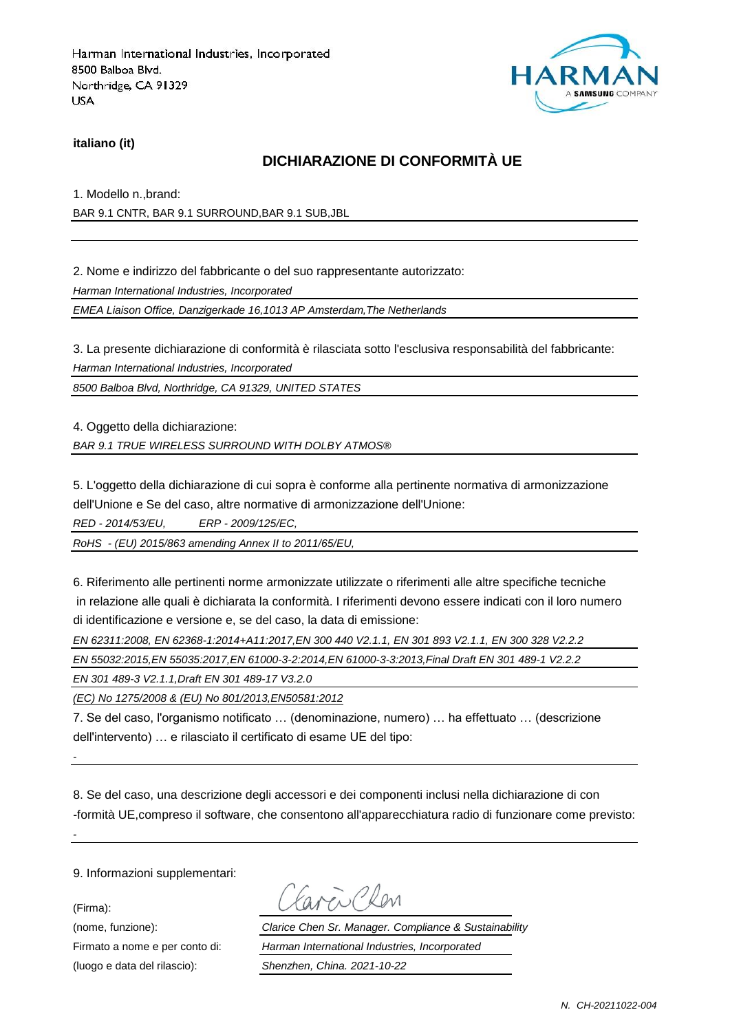

#### **italiano (it)**

### **DICHIARAZIONE DI CONFORMITÀ UE**

1. Modello n.,brand:

BAR 9.1 CNTR, BAR 9.1 SURROUND,BAR 9.1 SUB,JBL

2. Nome e indirizzo del fabbricante o del suo rappresentante autorizzato:

*Harman International Industries, Incorporated*

*EMEA Liaison Office, Danzigerkade 16,1013 AP Amsterdam,The Netherlands*

3. La presente dichiarazione di conformità è rilasciata sotto l'esclusiva responsabilità del fabbricante:

*Harman International Industries, Incorporated*

*8500 Balboa Blvd, Northridge, CA 91329, UNITED STATES*

4. Oggetto della dichiarazione:

*BAR 9.1 TRUE WIRELESS SURROUND WITH DOLBY ATMOS®*

5. L'oggetto della dichiarazione di cui sopra è conforme alla pertinente normativa di armonizzazione dell'Unione e Se del caso, altre normative di armonizzazione dell'Unione:

*RED - 2014/53/EU, ERP - 2009/125/EC,*

*RoHS - (EU) 2015/863 amending Annex II to 2011/65/EU,*

6. Riferimento alle pertinenti norme armonizzate utilizzate o riferimenti alle altre specifiche tecniche in relazione alle quali è dichiarata la conformità. I riferimenti devono essere indicati con il loro numero di identificazione e versione e, se del caso, la data di emissione:

*EN 62311:2008, EN 62368-1:2014+A11:2017,EN 300 440 V2.1.1, EN 301 893 V2.1.1, EN 300 328 V2.2.2*

*EN 55032:2015,EN 55035:2017,EN 61000-3-2:2014,EN 61000-3-3:2013,Final Draft EN 301 489-1 V2.2.2*

*EN 301 489-3 V2.1.1,Draft EN 301 489-17 V3.2.0*

*(EC) No 1275/2008 & (EU) No 801/2013,EN50581:2012*

7. Se del caso, l'organismo notificato … (denominazione, numero) … ha effettuato … (descrizione dell'intervento) … e rilasciato il certificato di esame UE del tipo:

8. Se del caso, una descrizione degli accessori e dei componenti inclusi nella dichiarazione di con -formità UE,compreso il software, che consentono all'apparecchiatura radio di funzionare come previsto:

9. Informazioni supplementari:

(Firma):

*-*

*-*

(luogo e data del rilascio): *Shenzhen, China. 2021-10-22*

Earen Chen

(nome, funzione): *Clarice Chen Sr. Manager. Compliance & Sustainability* Firmato a nome e per conto di: *Harman International Industries, Incorporated*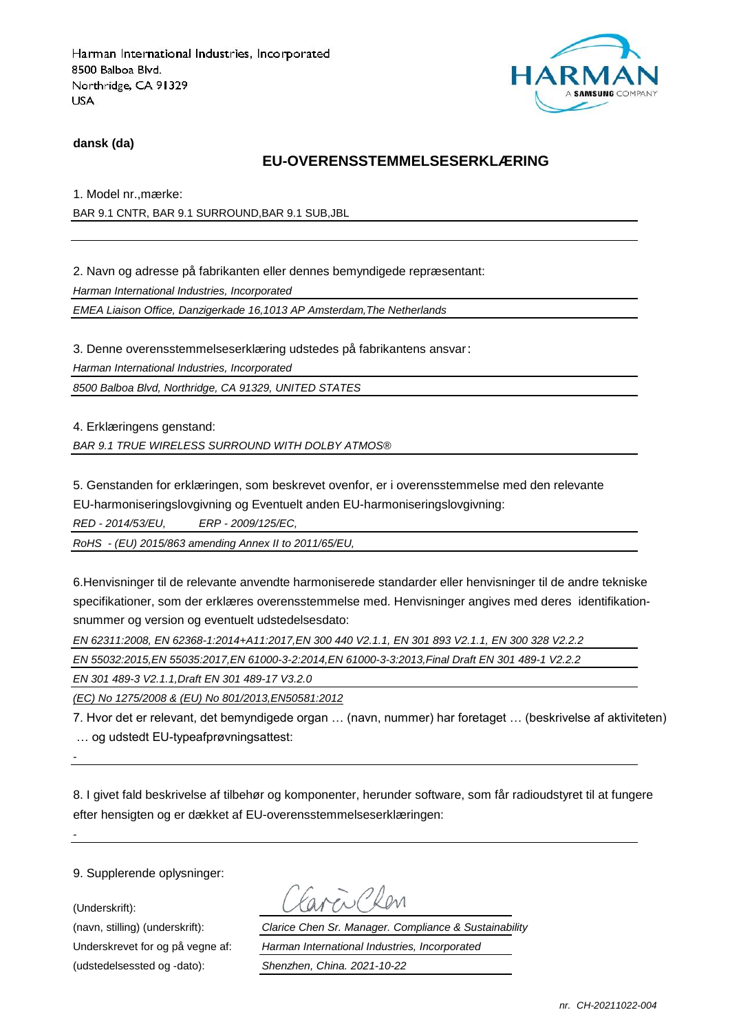

#### **dansk (da)**

### **EU-OVERENSSTEMMELSESERKLÆRING**

1. Model nr., mærke:

BAR 9.1 CNTR, BAR 9.1 SURROUND,BAR 9.1 SUB,JBL

2. Navn og adresse på fabrikanten eller dennes bemyndigede repræ sentant:

*Harman International Industries, Incorporated*

*EMEA Liaison Office, Danzigerkade 16,1013 AP Amsterdam,The Netherlands*

3. Denne overensstemmelseserklæring udstedes på fabrikantens ansvar:

*Harman International Industries, Incorporated*

*8500 Balboa Blvd, Northridge, CA 91329, UNITED STATES*

4. Erklæringens genstand:

*BAR 9.1 TRUE WIRELESS SURROUND WITH DOLBY ATMOS®*

5. Genstanden for erklæringen, som beskrevet ovenfor, er i overensstemmelse med den relevante EU-harmoniseringslovgivning og Eventuelt anden EU-harmoniseringslovgivning:

*RED - 2014/53/EU, ERP - 2009/125/EC,*

*RoHS - (EU) 2015/863 amending Annex II to 2011/65/EU,*

6.Henvisninger til de relevante anvendte harmoniserede standarder eller henvisninger til de andre tekniske specifikationer, som der erklæres overensstemmelse med. Henvisninger angives med deres identifikationsnummer og version og eventuelt udstedelsesdato:

*EN 62311:2008, EN 62368-1:2014+A11:2017,EN 300 440 V2.1.1, EN 301 893 V2.1.1, EN 300 328 V2.2.2*

*EN 55032:2015,EN 55035:2017,EN 61000-3-2:2014,EN 61000-3-3:2013,Final Draft EN 301 489-1 V2.2.2*

*EN 301 489-3 V2.1.1,Draft EN 301 489-17 V3.2.0*

*(EC) No 1275/2008 & (EU) No 801/2013,EN50581:2012*

7. Hvor det er relevant, det bemyndigede organ … (navn, nummer) har foretaget … (beskrivelse af aktiviteten) … og udstedt EU-typeafprøvningsattest:

*-*

*-*

8. I givet fald beskrivelse af tilbehør og komponenter, herunder software, som får radioudstyret til at fungere efter hensigten og er dækket af EU-overensstemmelseserklæringen:

9. Supplerende oplysninger:

(Underskrift):

(udstedelsessted og -dato): *Shenzhen, China. 2021-10-22*

(navn, stilling) (underskrift): *Clarice Chen Sr. Manager. Compliance & Sustainability* Underskrevet for og på vegne af: *Harman International Industries, Incorporated*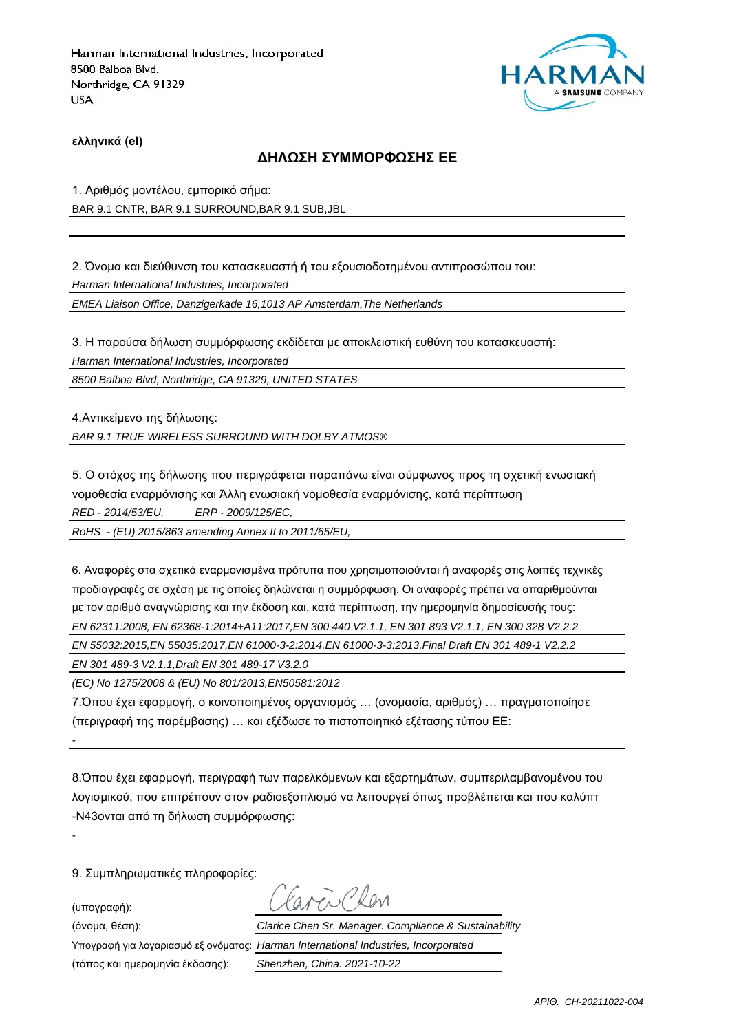

**ελληνικά (el)**

### **ΔΗΛΩΣΗ ΣΥΜΜΟΡΦΩΣΗΣ ΕΕ**

1. Αριθμός μοντέλου, εμπορικό σήμα: BAR 9.1 CNTR, BAR 9.1 SURROUND,BAR 9.1 SUB,JBL

2. Όνομα και διεύθυνση του κατασκευαστή ή του εξουσιοδοτημένου αντιπροσώπου του:

*Harman International Industries, Incorporated*

*EMEA Liaison Office, Danzigerkade 16,1013 AP Amsterdam,The Netherlands*

3. Η παρούσα δήλωση συμμόρφωσης εκδίδεται με αποκλειστική ευθύνη του κατασκευαστή:

*Harman International Industries, Incorporated*

*8500 Balboa Blvd, Northridge, CA 91329, UNITED STATES*

4.Αντικείμενο της δήλωσης: *BAR 9.1 TRUE WIRELESS SURROUND WITH DOLBY ATMOS®*

5. Ο στόχος της δήλωσης που περιγράφεται παραπάνω είναι σύμφωνος προς τη σχετική ενωσιακή νομοθεσία εναρμόνισης και Άλλη ενωσιακή νομοθεσία εναρμόνισης, κατά περίπτωση

*RED - 2014/53/EU, ERP - 2009/125/EC,*

*RoHS - (EU) 2015/863 amending Annex II to 2011/65/EU,*

6. Αναφορές στα σχετικά εναρμονισμένα πρότυπα που χρησιμοποιούνται ή αναφορές στις λοιπές τεχνικές προδιαγραφές σε σχέση με τις οποίες δηλώνεται η συμμόρφωση. Οι αναφορές πρέπει να απαριθμούνται με τον αριθμό αναγνώρισης και την έκδοση και, κατά περίπτωση, την ημερομηνία δημοσίευσής τους: *EN 62311:2008, EN 62368-1:2014+A11:2017,EN 300 440 V2.1.1, EN 301 893 V2.1.1, EN 300 328 V2.2.2*

*EN 55032:2015,EN 55035:2017,EN 61000-3-2:2014,EN 61000-3-3:2013,Final Draft EN 301 489-1 V2.2.2*

*EN 301 489-3 V2.1.1,Draft EN 301 489-17 V3.2.0*

*(EC) No 1275/2008 & (EU) No 801/2013,EN50581:2012*

7.Όπου έχει εφαρμογή, ο κοινοποιημένος οργανισμός … (ονομασία, αριθμός) … πραγματοποίησε (περιγραφή της παρέμβασης) … και εξέδωσε το πιστοποιητικό εξέτασης τύπου ΕΕ:

8.Όπου έχει εφαρμογή, περιγραφή των παρελκόμενων και εξαρτημάτων, συμπεριλαμβανομένου του λογισμικού, που επιτρέπουν στον ραδιοεξοπλισμό να λειτουργεί όπως προβλέπεται και που καλύπτ -N43ονται από τη δήλωση συμμόρφωσης:

9. Συμπληρωματικές πληροφορίες:

(υπογραφή):

*-*

*-*

(τόπος και ημερομηνία έκδοσης): *Shenzhen, China. 2021-10-22*

(όνομα, θέση): *Clarice Chen Sr. Manager. Compliance & Sustainability*

Υπογραφή για λογαριασμό εξ ονόματος: *Harman International Industries, Incorporated*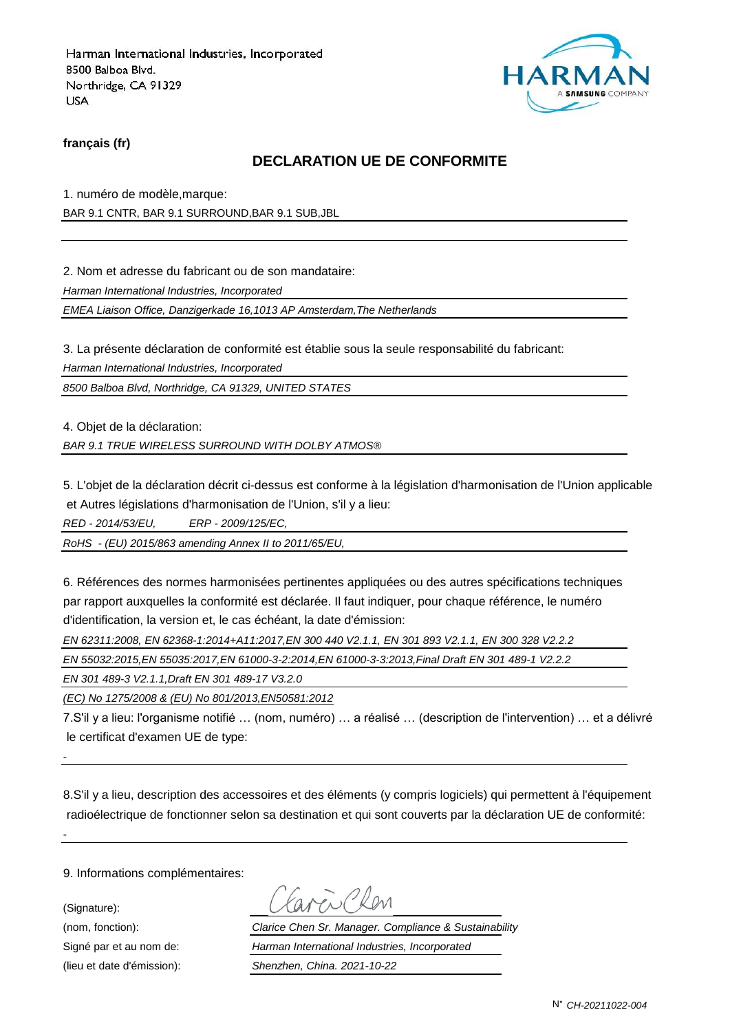

**français (fr)**

## **DECLARATION UE DE CONFORMITE**

1. numéro de modèle,marque:

BAR 9.1 CNTR, BAR 9.1 SURROUND,BAR 9.1 SUB,JBL

2. Nom et adresse du fabricant ou de son mandataire:

*Harman International Industries, Incorporated*

*EMEA Liaison Office, Danzigerkade 16,1013 AP Amsterdam,The Netherlands*

3. La présente déclaration de conformité est établie sous la seule responsabilité du fabricant:

*Harman International Industries, Incorporated*

*8500 Balboa Blvd, Northridge, CA 91329, UNITED STATES*

4. Objet de la déclaration:

*BAR 9.1 TRUE WIRELESS SURROUND WITH DOLBY ATMOS®*

5. L'objet de la déclaration décrit ci-dessus est conforme à la législation d'harmonisation de l'Union applicable et Autres législations d'harmonisation de l'Union, s'il y a lieu:

*RED - 2014/53/EU, ERP - 2009/125/EC,*

*RoHS - (EU) 2015/863 amending Annex II to 2011/65/EU,*

6. Références des normes harmonisées pertinentes appliquées ou des autres spécifications techniques par rapport auxquelles la conformité est déclarée. Il faut indiquer, pour chaque référence, le numéro d'identification, la version et, le cas échéant, la date d'émission:

*EN 62311:2008, EN 62368-1:2014+A11:2017,EN 300 440 V2.1.1, EN 301 893 V2.1.1, EN 300 328 V2.2.2*

*EN 55032:2015,EN 55035:2017,EN 61000-3-2:2014,EN 61000-3-3:2013,Final Draft EN 301 489-1 V2.2.2*

*EN 301 489-3 V2.1.1,Draft EN 301 489-17 V3.2.0*

*(EC) No 1275/2008 & (EU) No 801/2013,EN50581:2012*

7.S'il y a lieu: l'organisme notifié … (nom, numéro) … a réalisé … (description de l'intervention) … et a délivré le certificat d'examen UE de type:

8.S'il y a lieu, description des accessoires et des éléments (y compris logiciels) qui permettent à l'équipement radioélectrique de fonctionner selon sa destination et qui sont couverts par la déclaration UE de conformité:

9. Informations complémentaires:

(Signature):

*-*

*-*

(nom, fonction): *Clarice Chen Sr. Manager. Compliance & Sustainability* Signé par et au nom de: *Harman International Industries, Incorporated* (lieu et date d'émission): *Shenzhen, China. 2021-10-22*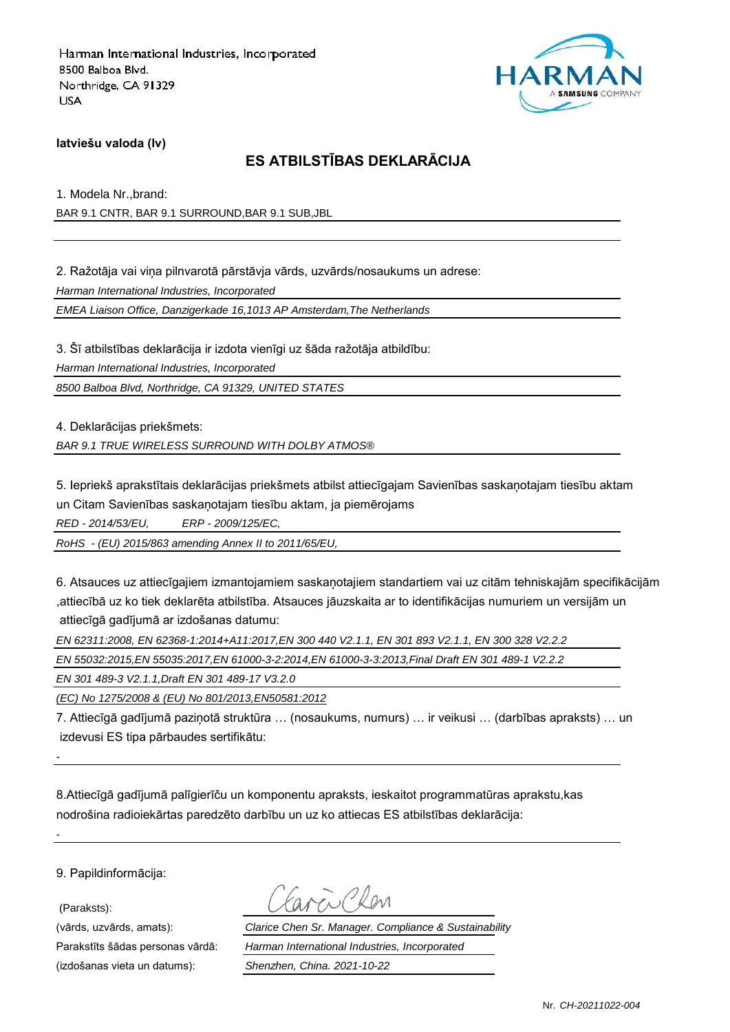

### **latviešu valoda (lv)**

## **ES ATBILSTĪBAS DEKLARĀCIJA**

1. Modela Nr.,brand:

BAR 9.1 CNTR, BAR 9.1 SURROUND,BAR 9.1 SUB,JBL

2. Ražotāja vai viņa pilnvarotā pārstāvja vārds, uzvārds/nosaukums un adrese:

*Harman International Industries, Incorporated*

*EMEA Liaison Office, Danzigerkade 16,1013 AP Amsterdam,The Netherlands*

3. Šī atbilstības deklarācija ir izdota vienīgi uz šāda ražotāja atbildību: *Harman International Industries, Incorporated 8500 Balboa Blvd, Northridge, CA 91329, UNITED STATES*

4. Deklarācijas priekšmets:

*BAR 9.1 TRUE WIRELESS SURROUND WITH DOLBY ATMOS®*

5. Iepriekš aprakstītais deklarācijas priekšmets atbilst attiecīgajam Savienības saskaņotajam tiesību aktam un Citam Savienības saskaņotajam tiesību aktam, ja piemērojams

*RED - 2014/53/EU, ERP - 2009/125/EC,*

*RoHS - (EU) 2015/863 amending Annex II to 2011/65/EU,*

6. Atsauces uz attiecīgajiem izmantojamiem saskaņotajiem standartiem vai uz citām tehniskajām specifikācijām ,attiecībā uz ko tiek deklarēta atbilstība. Atsauces jāuzskaita ar to identifikācijas numuriem un versijām un attiecīgā gadījumā ar izdošanas datumu:

*EN 62311:2008, EN 62368-1:2014+A11:2017,EN 300 440 V2.1.1, EN 301 893 V2.1.1, EN 300 328 V2.2.2*

*EN 55032:2015,EN 55035:2017,EN 61000-3-2:2014,EN 61000-3-3:2013,Final Draft EN 301 489-1 V2.2.2*

*EN 301 489-3 V2.1.1,Draft EN 301 489-17 V3.2.0*

*(EC) No 1275/2008 & (EU) No 801/2013,EN50581:2012*

7. Attiecīgā gadījumā paziņotā struktūra … (nosaukums, numurs) … ir veikusi … (darbības apraksts) … un izdevusi ES tipa pārbaudes sertifikātu:

8.Attiecīgā gadījumā palīgierīču un komponentu apraksts, ieskaitot programmatūras aprakstu,kas nodrošina radioiekārtas paredzēto darbību un uz ko attiecas ES atbilstības deklarācija:

9. Papildinformācija:

(Paraksts):

*-*

*-*

(izdošanas vieta un datums): *Shenzhen, China. 2021-10-22*

(vārds, uzvārds, amats): *Clarice Chen Sr. Manager. Compliance & Sustainability* Parakstīts šādas personas vārdā: *Harman International Industries, Incorporated*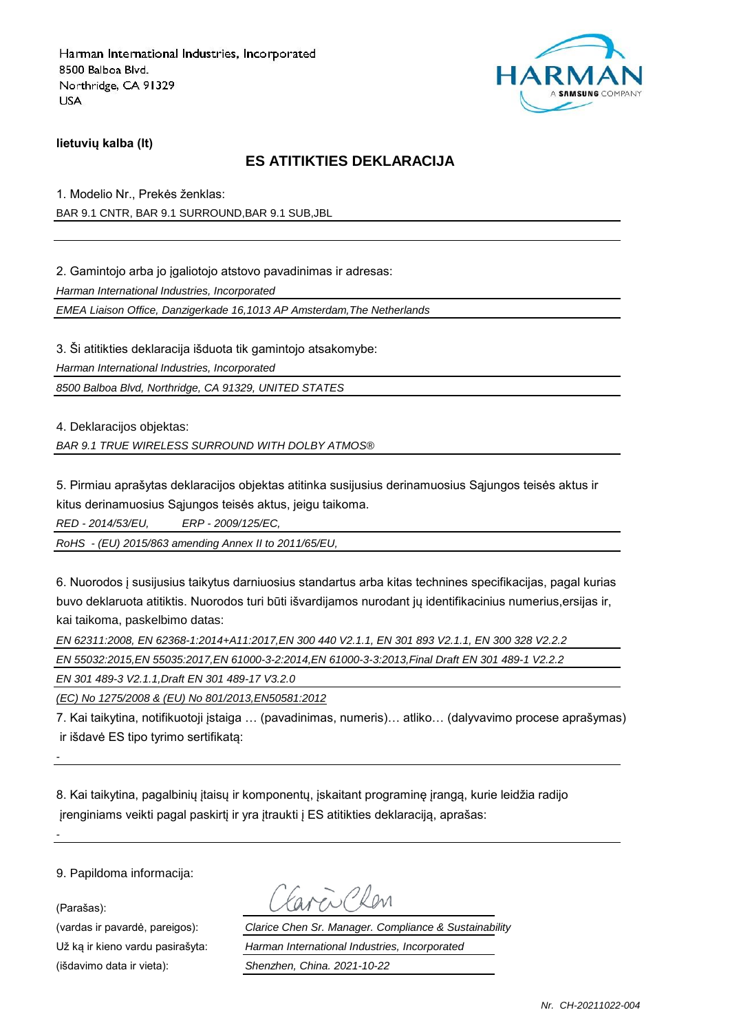

**lietuvių kalba (lt)**

### **ES ATITIKTIES DEKLARACIJA**

1. Modelio Nr., Prekės ženklas: BAR 9.1 CNTR, BAR 9.1 SURROUND,BAR 9.1 SUB,JBL

2. Gamintojo arba jo įgaliotojo atstovo pavadinimas ir adresas:

*Harman International Industries, Incorporated*

*EMEA Liaison Office, Danzigerkade 16,1013 AP Amsterdam,The Netherlands*

3. Ši atitikties deklaracija išduota tik gamintojo atsakomybe:

*Harman International Industries, Incorporated*

*8500 Balboa Blvd, Northridge, CA 91329, UNITED STATES*

4. Deklaracijos objektas:

*BAR 9.1 TRUE WIRELESS SURROUND WITH DOLBY ATMOS®*

5. Pirmiau aprašytas deklaracijos objektas atitinka susijusius derinamuosius Sąjungos teisės aktus ir kitus derinamuosius Sąjungos teisės aktus, jeigu taikoma.

*RED - 2014/53/EU, ERP - 2009/125/EC,*

*RoHS - (EU) 2015/863 amending Annex II to 2011/65/EU,*

6. Nuorodos į susijusius taikytus darniuosius standartus arba kitas technines specifikacijas, pagal kurias buvo deklaruota atitiktis. Nuorodos turi būti išvardijamos nurodant jų identifikacinius numerius,ersijas ir, kai taikoma, paskelbimo datas:

*EN 62311:2008, EN 62368-1:2014+A11:2017,EN 300 440 V2.1.1, EN 301 893 V2.1.1, EN 300 328 V2.2.2*

*EN 55032:2015,EN 55035:2017,EN 61000-3-2:2014,EN 61000-3-3:2013,Final Draft EN 301 489-1 V2.2.2*

*EN 301 489-3 V2.1.1,Draft EN 301 489-17 V3.2.0*

*(EC) No 1275/2008 & (EU) No 801/2013,EN50581:2012*

7. Kai taikytina, notifikuotoji įstaiga … (pavadinimas, numeris)… atliko… (dalyvavimo procese aprašymas) ir išdavė ES tipo tyrimo sertifikatą:

8. Kai taikytina, pagalbinių įtaisų ir komponentų, įskaitant programinę įrangą, kurie leidžia radijo įrenginiams veikti pagal paskirtį ir yra įtraukti į ES atitikties deklaraciją, aprašas:

9. Papildoma informacija:

(Parašas):

*-*

*-*

(išdavimo data ir vieta): *Shenzhen, China. 2021-10-22*

(vardas ir pavardė, pareigos): *Clarice Chen Sr. Manager. Compliance & Sustainability* Už ką ir kieno vardu pasirašyta: *Harman International Industries, Incorporated*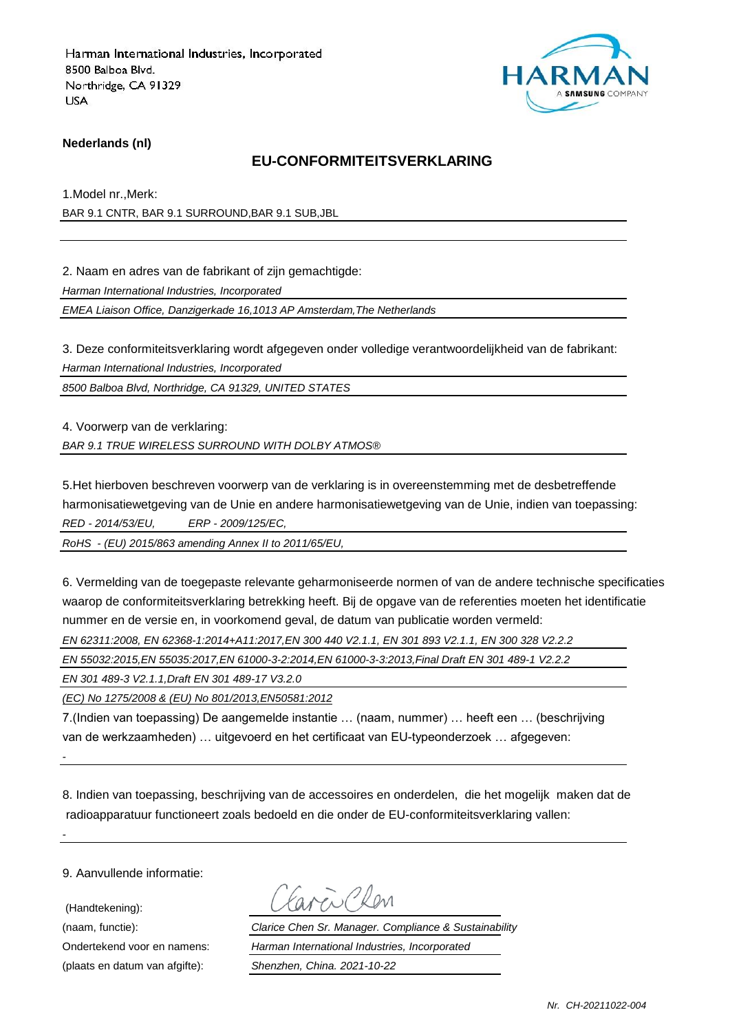

### **Nederlands (nl)**

### **EU-CONFORMITEITSVERKLARING**

1.Model nr.,Merk:

BAR 9.1 CNTR, BAR 9.1 SURROUND,BAR 9.1 SUB,JBL

2. Naam en adres van de fabrikant of zijn gemachtigde:

*Harman International Industries, Incorporated*

*EMEA Liaison Office, Danzigerkade 16,1013 AP Amsterdam,The Netherlands*

3. Deze conformiteitsverklaring wordt afgegeven onder volledige verantwoordelijkheid van de fabrikant:

*Harman International Industries, Incorporated*

*8500 Balboa Blvd, Northridge, CA 91329, UNITED STATES*

4. Voorwerp van de verklaring:

*BAR 9.1 TRUE WIRELESS SURROUND WITH DOLBY ATMOS®*

5.Het hierboven beschreven voorwerp van de verklaring is in overeenstemming met de desbetreffende harmonisatiewetgeving van de Unie en andere harmonisatiewetgeving van de Unie, indien van toepassing: *RED - 2014/53/EU, ERP - 2009/125/EC,*

*RoHS - (EU) 2015/863 amending Annex II to 2011/65/EU,*

6. Vermelding van de toegepaste relevante geharmoniseerde normen of van de andere technische specificaties waarop de conformiteitsverklaring betrekking heeft. Bij de opgave van de referenties moeten het identificatie nummer en de versie en, in voorkomend geval, de datum van publicatie worden vermeld:

*EN 62311:2008, EN 62368-1:2014+A11:2017,EN 300 440 V2.1.1, EN 301 893 V2.1.1, EN 300 328 V2.2.2*

*EN 55032:2015,EN 55035:2017,EN 61000-3-2:2014,EN 61000-3-3:2013,Final Draft EN 301 489-1 V2.2.2*

*EN 301 489-3 V2.1.1,Draft EN 301 489-17 V3.2.0*

*(EC) No 1275/2008 & (EU) No 801/2013,EN50581:2012*

7.(Indien van toepassing) De aangemelde instantie … (naam, nummer) … heeft een … (beschrijving van de werkzaamheden) … uitgevoerd en het certificaat van EU-typeonderzoek … afgegeven:

8. Indien van toepassing, beschrijving van de accessoires en onderdelen, die het mogelijk maken dat de radioapparatuur functioneert zoals bedoeld en die onder de EU-conformiteitsverklaring vallen:

9. Aanvullende informatie:

*-*

*-*

 (Handtekening): (plaats en datum van afgifte): *Shenzhen, China. 2021-10-22*

(naam, functie): *Clarice Chen Sr. Manager. Compliance & Sustainability* Ondertekend voor en namens: *Harman International Industries, Incorporated*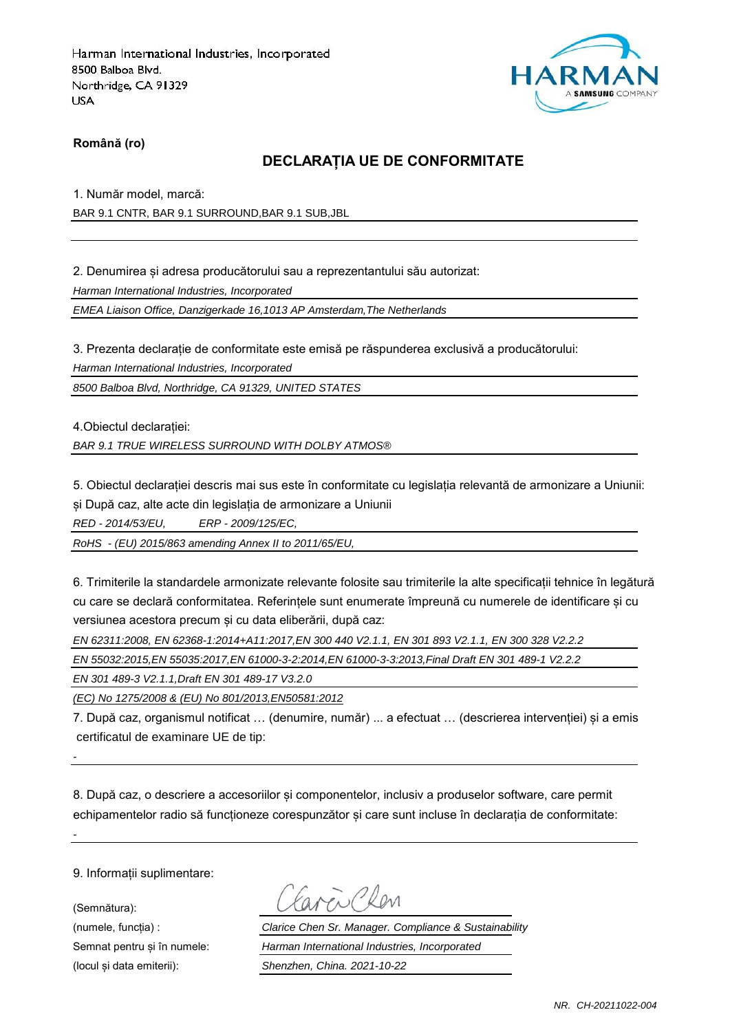

**Română (ro)**

## **DECLARAȚIA UE DE CONFORMITATE**

1. Număr model, marcă:

BAR 9.1 CNTR, BAR 9.1 SURROUND,BAR 9.1 SUB,JBL

2. Denumirea și adresa producătorului sau a reprezentantului său autorizat:

*Harman International Industries, Incorporated*

*EMEA Liaison Office, Danzigerkade 16,1013 AP Amsterdam,The Netherlands*

3. Prezenta declarație de conformitate este emisă pe răspunderea exclusivă a producătorului:

*Harman International Industries, Incorporated*

*8500 Balboa Blvd, Northridge, CA 91329, UNITED STATES*

4.Obiectul declarației:

*BAR 9.1 TRUE WIRELESS SURROUND WITH DOLBY ATMOS®*

5. Obiectul declarației descris mai sus este în conformitate cu legislația relevantă de armonizare a Uniunii: și După caz, alte acte din legislația de armonizare a Uniunii

*RED - 2014/53/EU, ERP - 2009/125/EC,*

*RoHS - (EU) 2015/863 amending Annex II to 2011/65/EU,*

6. Trimiterile la standardele armonizate relevante folosite sau trimiterile la alte specificații tehnice în legătură cu care se declară conformitatea. Referințele sunt enumerate împreună cu numerele de identificare și cu versiunea acestora precum și cu data eliberării, după caz:

*EN 62311:2008, EN 62368-1:2014+A11:2017,EN 300 440 V2.1.1, EN 301 893 V2.1.1, EN 300 328 V2.2.2*

*EN 55032:2015,EN 55035:2017,EN 61000-3-2:2014,EN 61000-3-3:2013,Final Draft EN 301 489-1 V2.2.2*

*EN 301 489-3 V2.1.1,Draft EN 301 489-17 V3.2.0*

*(EC) No 1275/2008 & (EU) No 801/2013,EN50581:2012*

7. După caz, organismul notificat … (denumire, număr) ... a efectuat … (descrierea intervenției) și a emis certificatul de examinare UE de tip:

8. După caz, o descriere a accesoriilor și componentelor, inclusiv a produselor software, care permit echipamentelor radio să functioneze corespunzător și care sunt incluse în declarația de conformitate:

9. Informații suplimentare:

*-*

*-*

(Semnătura):

Favor Chen

(numele, funcția) : *Clarice Chen Sr. Manager. Compliance & Sustainability* Semnat pentru și în numele: *Harman International Industries, Incorporated* (locul și data emiterii): *Shenzhen, China. 2021-10-22*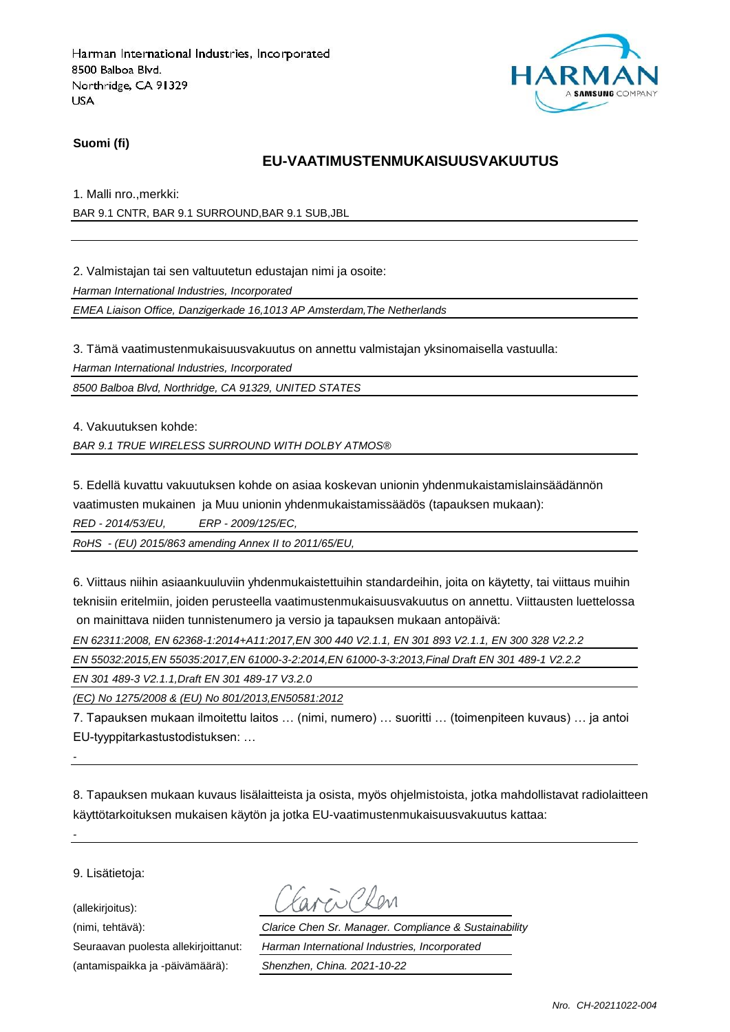

#### **Suomi (fi)**

### **EU-VAATIMUSTENMUKAISUUSVAKUUTUS**

1. Malli nro.,merkki:

BAR 9.1 CNTR, BAR 9.1 SURROUND,BAR 9.1 SUB,JBL

2. Valmistajan tai sen valtuutetun edustajan nimi ja osoite:

*Harman International Industries, Incorporated*

*EMEA Liaison Office, Danzigerkade 16,1013 AP Amsterdam,The Netherlands*

3. Tämä vaatimustenmukaisuusvakuutus on annettu valmistajan yksinomaisella vastuulla:

*Harman International Industries, Incorporated*

*8500 Balboa Blvd, Northridge, CA 91329, UNITED STATES*

4. Vakuutuksen kohde:

*BAR 9.1 TRUE WIRELESS SURROUND WITH DOLBY ATMOS®*

5. Edellä kuvattu vakuutuksen kohde on asiaa koskevan unionin yhdenmukaistamislainsäädännön vaatimusten mukainen ja Muu unionin yhdenmukaistamissäädös (tapauksen mukaan):

*RED - 2014/53/EU, ERP - 2009/125/EC,*

*RoHS - (EU) 2015/863 amending Annex II to 2011/65/EU,*

6. Viittaus niihin asiaankuuluviin yhdenmukaistettuihin standardeihin, joita on käytetty, tai viittaus muihin teknisiin eritelmiin, joiden perusteella vaatimustenmukaisuusvakuutus on annettu. Viittausten luettelossa on mainittava niiden tunnistenumero ja versio ja tapauksen mukaan antopäivä:

*EN 62311:2008, EN 62368-1:2014+A11:2017,EN 300 440 V2.1.1, EN 301 893 V2.1.1, EN 300 328 V2.2.2*

*EN 55032:2015,EN 55035:2017,EN 61000-3-2:2014,EN 61000-3-3:2013,Final Draft EN 301 489-1 V2.2.2*

*EN 301 489-3 V2.1.1,Draft EN 301 489-17 V3.2.0*

*(EC) No 1275/2008 & (EU) No 801/2013,EN50581:2012*

7. Tapauksen mukaan ilmoitettu laitos … (nimi, numero) … suoritti … (toimenpiteen kuvaus) … ja antoi EU-tyyppitarkastustodistuksen: …

8. Tapauksen mukaan kuvaus lisälaitteista ja osista, myös ohjelmistoista, jotka mahdollistavat radiolaitteen käyttötarkoituksen mukaisen käytön ja jotka EU-vaatimustenmukaisuusvakuutus kattaa:

9. Lisätietoja:

*-*

*-*

(allekirjoitus):

(antamispaikka ja -päivämäärä): *Shenzhen, China. 2021-10-22*

(nimi, tehtävä): *Clarice Chen Sr. Manager. Compliance & Sustainability* Seuraavan puolesta allekirjoittanut: *Harman International Industries, Incorporated*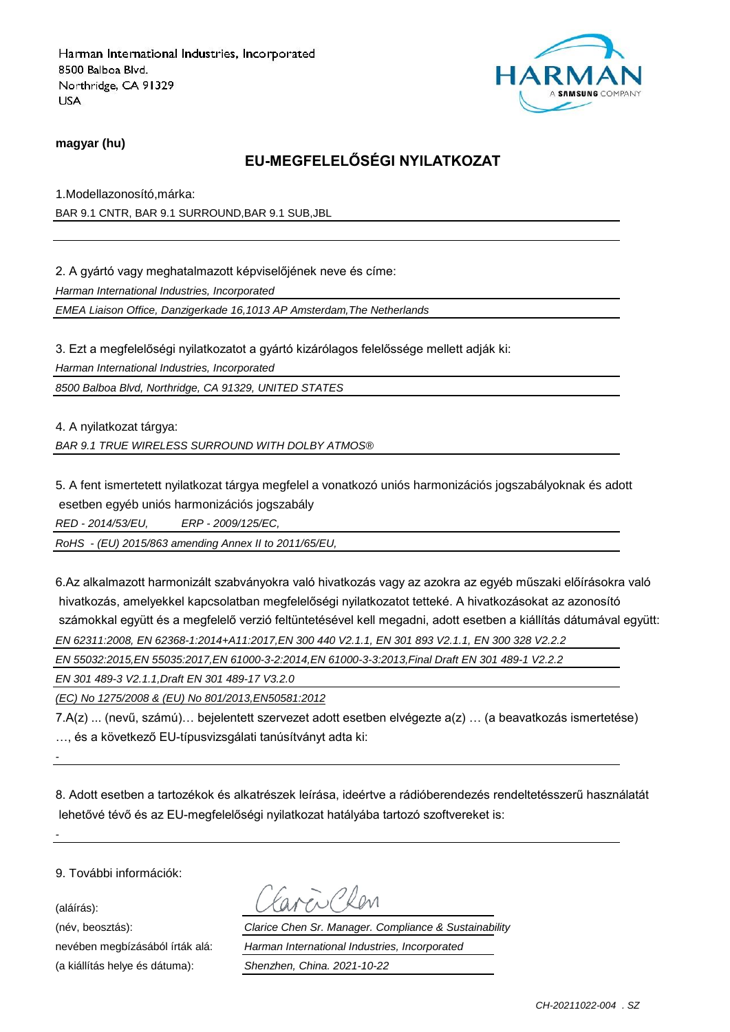

#### **magyar (hu)**

## **EU-MEGFELELŐSÉGI NYILATKOZAT**

1.Modellazonosító,márka: BAR 9.1 CNTR, BAR 9.1 SURROUND,BAR 9.1 SUB,JBL

2. A gyártó vagy meghatalmazott képviselőjének neve és címe:

*Harman International Industries, Incorporated*

*EMEA Liaison Office, Danzigerkade 16,1013 AP Amsterdam,The Netherlands*

3. Ezt a megfelelőségi nyilatkozatot a gyártó kizárólagos felelőssége mellett adják ki: *Harman International Industries, Incorporated 8500 Balboa Blvd, Northridge, CA 91329, UNITED STATES*

4. A nyilatkozat tárgya: *BAR 9.1 TRUE WIRELESS SURROUND WITH DOLBY ATMOS®*

5. A fent ismertetett nyilatkozat tárgya megfelel a vonatkozó uniós harmonizációs jogszabályoknak és adott esetben egyéb uniós harmonizációs jogszabály

*RED - 2014/53/EU, ERP - 2009/125/EC,*

*RoHS - (EU) 2015/863 amending Annex II to 2011/65/EU,*

6.Az alkalmazott harmonizált szabványokra való hivatkozás vagy az azokra az egyéb műszaki előírásokra való hivatkozás, amelyekkel kapcsolatban megfelelőségi nyilatkozatot tetteké. A hivatkozásokat az azonosító számokkal együtt és a megfelelő verzió feltüntetésével kell megadni, adott esetben a kiállítás dátumával együtt: *EN 62311:2008, EN 62368-1:2014+A11:2017,EN 300 440 V2.1.1, EN 301 893 V2.1.1, EN 300 328 V2.2.2*

*EN 55032:2015,EN 55035:2017,EN 61000-3-2:2014,EN 61000-3-3:2013,Final Draft EN 301 489-1 V2.2.2*

*EN 301 489-3 V2.1.1,Draft EN 301 489-17 V3.2.0*

*(EC) No 1275/2008 & (EU) No 801/2013,EN50581:2012*

7.A(z) ... (nevű, számú)… bejelentett szervezet adott esetben elvégezte a(z) … (a beavatkozás ismertetése) …, és a következő EU-típusvizsgálati tanúsítványt adta ki:

8. Adott esetben a tartozékok és alkatrészek leírása, ideértve a rádióberendezés rendeltetésszerű használatát lehetővé tévő és az EU-megfelelőségi nyilatkozat hatályába tartozó szoftvereket is:

9. További információk:

(aláírás):

*-*

*-*

(a kiállítás helye és dátuma): *Shenzhen, China. 2021-10-22*

(név, beosztás): *Clarice Chen Sr. Manager. Compliance & Sustainability* nevében megbízásából írták alá: *Harman International Industries, Incorporated*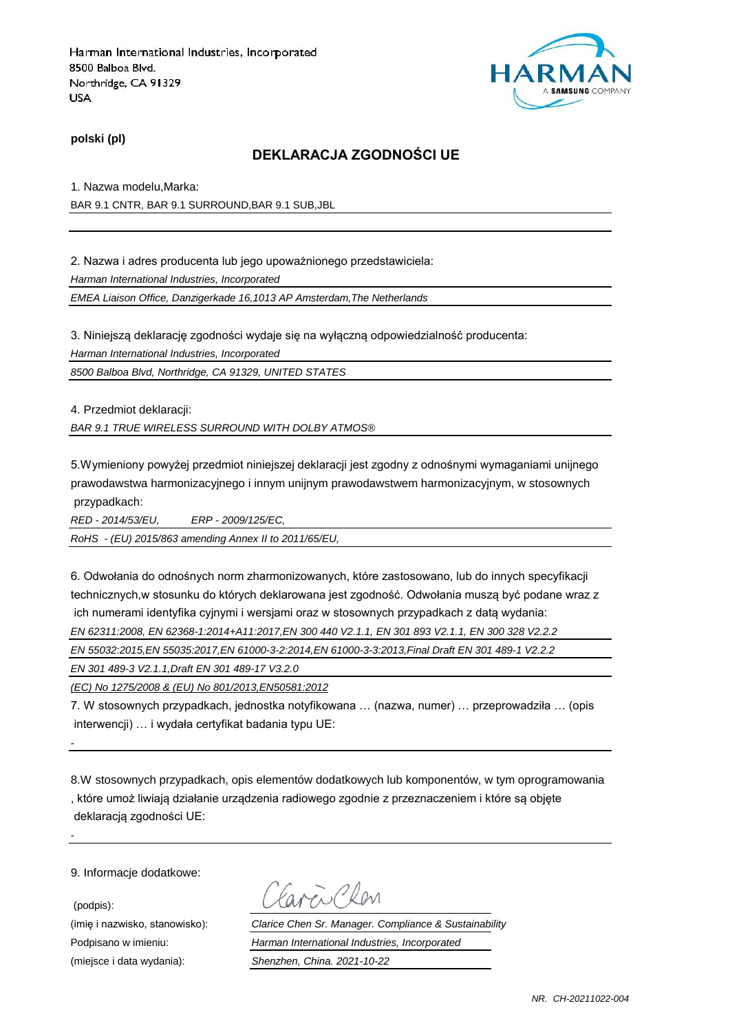

**polski (pl)**

## **DEKLARACJA ZGODNOŚCI UE**

1. Nazwa modelu,Marka: BAR 9.1 CNTR, BAR 9.1 SURROUND,BAR 9.1 SUB,JBL

2. Nazwa i adres producenta lub jego upoważnionego przedstawiciela:

*Harman International Industries, Incorporated*

*EMEA Liaison Office, Danzigerkade 16,1013 AP Amsterdam,The Netherlands*

3. Niniejszą deklarację zgodności wydaje się na wyłączną odpowiedzialność producenta:

*Harman International Industries, Incorporated*

*8500 Balboa Blvd, Northridge, CA 91329, UNITED STATES*

4. Przedmiot deklaracji:

*BAR 9.1 TRUE WIRELESS SURROUND WITH DOLBY ATMOS®*

5.Wymieniony powyżej przedmiot niniejszej deklaracji jest zgodny z odnośnymi wymaganiami unijnego prawodawstwa harmonizacyjnego i innym unijnym prawodawstwem harmonizacyjnym, w stosownych przypadkach:

*RED - 2014/53/EU, ERP - 2009/125/EC,*

*RoHS - (EU) 2015/863 amending Annex II to 2011/65/EU,*

6. Odwołania do odnośnych norm zharmonizowanych, które zastosowano, lub do innych specyfikacji technicznych,w stosunku do których deklarowana jest zgodność. Odwołania muszą być podane wraz z ich numerami identyfika cyjnymi i wersjami oraz w stosownych przypadkach z datą wydania:

*EN 62311:2008, EN 62368-1:2014+A11:2017,EN 300 440 V2.1.1, EN 301 893 V2.1.1, EN 300 328 V2.2.2*

*EN 55032:2015,EN 55035:2017,EN 61000-3-2:2014,EN 61000-3-3:2013,Final Draft EN 301 489-1 V2.2.2*

*EN 301 489-3 V2.1.1,Draft EN 301 489-17 V3.2.0*

*(EC) No 1275/2008 & (EU) No 801/2013,EN50581:2012*

7. W stosownych przypadkach, jednostka notyfikowana … (nazwa, numer) … przeprowadziła … (opis interwencji) … i wydała certyfikat badania typu UE:

8.W stosownych przypadkach, opis elementów dodatkowych lub komponentów, w tym oprogramowania , które umoż liwiają działanie urządzenia radiowego zgodnie z przeznaczeniem i które są objęte deklaracją zgodności UE:

9. Informacje dodatkowe:

*-*

*-*

(podpis):

Favor Chen

(imię i nazwisko, stanowisko): *Clarice Chen Sr. Manager. Compliance & Sustainability* Podpisano w imieniu: *Harman International Industries, Incorporated* (miejsce i data wydania): *Shenzhen, China. 2021-10-22*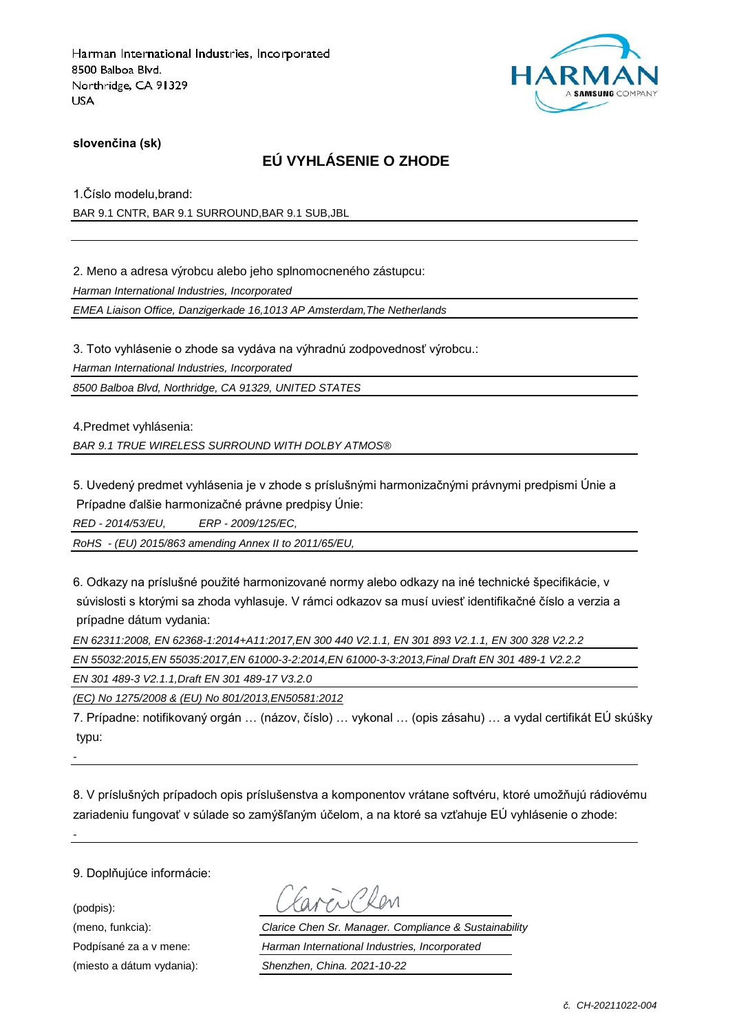

### **slovenčina (sk)**

## **EÚ VYHLÁSENIE O ZHODE**

1.Číslo modelu,brand:

BAR 9.1 CNTR, BAR 9.1 SURROUND,BAR 9.1 SUB,JBL

2. Meno a adresa výrobcu alebo jeho splnomocneného zástupcu:

*Harman International Industries, Incorporated*

*EMEA Liaison Office, Danzigerkade 16,1013 AP Amsterdam,The Netherlands*

3. Toto vyhlásenie o zhode sa vydáva na výhradnú zodpovednosť výrobcu.:

*Harman International Industries, Incorporated*

*8500 Balboa Blvd, Northridge, CA 91329, UNITED STATES*

4.Predmet vyhlásenia:

*BAR 9.1 TRUE WIRELESS SURROUND WITH DOLBY ATMOS®*

5. Uvedený predmet vyhlásenia je v zhode s príslušnými harmonizačnými právnymi predpismi Únie a Prípadne ďalšie harmonizačné právne predpisy Únie:

*RED - 2014/53/EU, ERP - 2009/125/EC,*

*RoHS - (EU) 2015/863 amending Annex II to 2011/65/EU,*

6. Odkazy na príslušné použité harmonizované normy alebo odkazy na iné technické špecifikácie, v súvislosti s ktorými sa zhoda vyhlasuje. V rámci odkazov sa musí uviesť identifikačné číslo a verzia a prípadne dátum vydania:

| EN 62311:2008, EN 62368-1:2014+A11:2017, EN 300 440 V2.1.1, EN 301 893 V2.1.1, EN 300 328 V2.2.2 |
|--------------------------------------------------------------------------------------------------|
| EN 55032:2015.EN 55035:2017.EN 61000-3-2:2014.EN 61000-3-3:2013.Final Draft EN 301 489-1 V2.2.2  |
| EN 301 489-3 V2.1.1.Draft EN 301 489-17 V3.2.0                                                   |

*(EC) No 1275/2008 & (EU) No 801/2013,EN50581:2012*

7. Prípadne: notifikovaný orgán … (názov, číslo) … vykonal … (opis zásahu) … a vydal certifikát EÚ skúšky typu:

*-*

*-*

8. V príslušných prípadoch opis príslušenstva a komponentov vrátane softvéru, ktoré umožňujú rádiovému zariadeniu fungovať v súlade so zamýšľaným účelom, a na ktoré sa vzťahuje EÚ vyhlásenie o zhode:

9. Doplňujúce informácie:

(podpis):

(meno, funkcia): *Clarice Chen Sr. Manager. Compliance & Sustainability* Podpísané za a v mene: *Harman International Industries, Incorporated* (miesto a dátum vydania): *Shenzhen, China. 2021-10-22*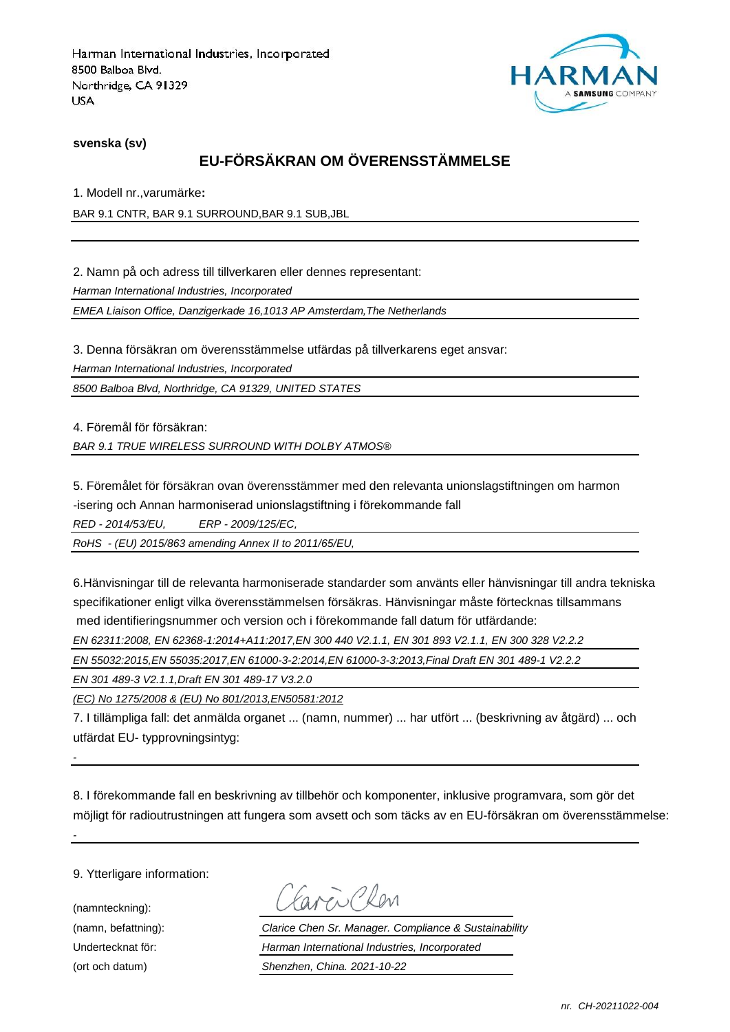

**svenska (sv)**

# **EU-FÖRSÄKRAN OM ÖVERENSSTÄMMELSE**

1. Modell nr.,varumärke**:**

BAR 9.1 CNTR, BAR 9.1 SURROUND,BAR 9.1 SUB,JBL

2. Namn på och adress till tillverkaren eller dennes representant:

*Harman International Industries, Incorporated*

*EMEA Liaison Office, Danzigerkade 16,1013 AP Amsterdam,The Netherlands*

3. Denna försäkran om överensstämmelse utfärdas på tillverkarens eget ansvar:

*Harman International Industries, Incorporated*

*8500 Balboa Blvd, Northridge, CA 91329, UNITED STATES*

4. Föremål för försäkran:

*BAR 9.1 TRUE WIRELESS SURROUND WITH DOLBY ATMOS®*

5. Föremålet för försäkran ovan överensstämmer med den relevanta unionslagstiftningen om harmon -isering och Annan harmoniserad unionslagstiftning i förekommande fall

*RED - 2014/53/EU, ERP - 2009/125/EC,*

*RoHS - (EU) 2015/863 amending Annex II to 2011/65/EU,*

6.Hänvisningar till de relevanta harmoniserade standarder som använts eller hänvisningar till andra tekniska specifikationer enligt vilka överensstämmelsen försäkras. Hänvisningar måste förtecknas tillsammans med identifieringsnummer och version och i förekommande fall datum för utfärdande:

*EN 62311:2008, EN 62368-1:2014+A11:2017,EN 300 440 V2.1.1, EN 301 893 V2.1.1, EN 300 328 V2.2.2*

*EN 55032:2015,EN 55035:2017,EN 61000-3-2:2014,EN 61000-3-3:2013,Final Draft EN 301 489-1 V2.2.2*

*EN 301 489-3 V2.1.1,Draft EN 301 489-17 V3.2.0*

*(EC) No 1275/2008 & (EU) No 801/2013,EN50581:2012*

7. I tillämpliga fall: det anmälda organet ... (namn, nummer) ... har utfört ... (beskrivning av åtgärd) ... och utfärdat EU- typprovningsintyg:

*-*

*-*

8. I förekommande fall en beskrivning av tillbehör och komponenter, inklusive programvara, som gör det möjligt för radioutrustningen att fungera som avsett och som täcks av en EU-försäkran om överensstämmelse:

9. Ytterligare information:

(namnteckning):

Carcio Clev

(namn, befattning): *Clarice Chen Sr. Manager. Compliance & Sustainability* Undertecknat för: *Harman International Industries, Incorporated* (ort och datum) *Shenzhen, China. 2021-10-22*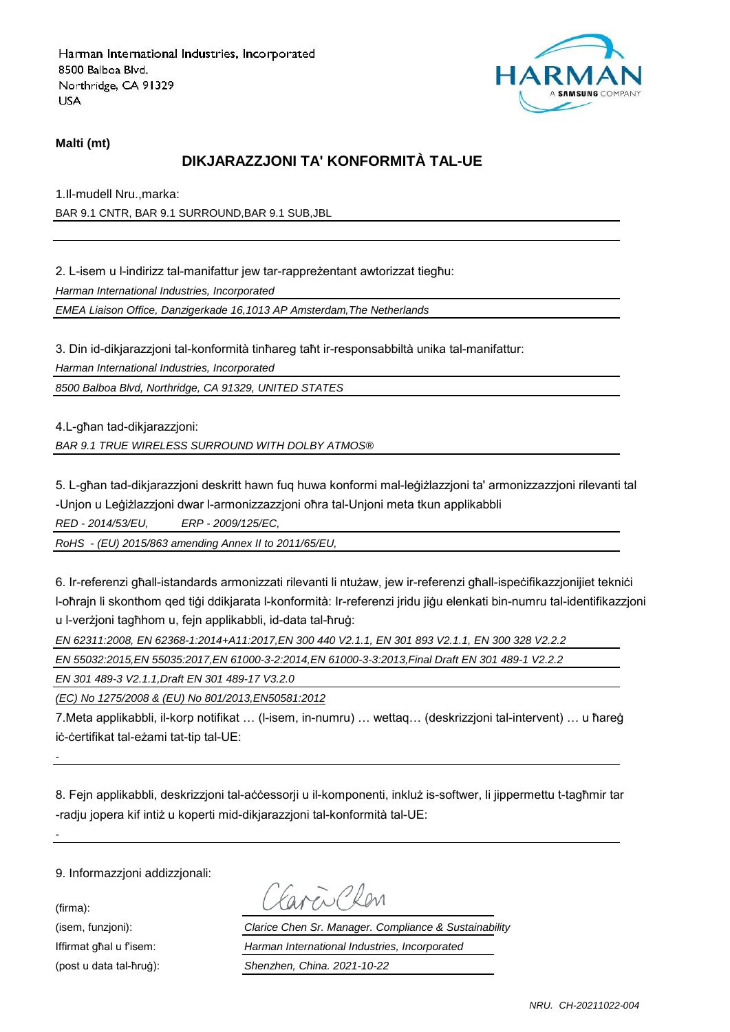

#### **Malti (mt)**

## **DIKJARAZZJONI TA' KONFORMITÀ TAL-UE**

1.Il-mudell Nru.,marka:

BAR 9.1 CNTR, BAR 9.1 SURROUND,BAR 9.1 SUB,JBL

2. L-isem u l-indirizz tal-manifattur jew tar-rappreżentant awtorizzat tiegħu:

*Harman International Industries, Incorporated*

*EMEA Liaison Office, Danzigerkade 16,1013 AP Amsterdam,The Netherlands*

3. Din id-dikjarazzjoni tal-konformità tinħareg taħt ir-responsabbiltà unika tal-manifattur:

*Harman International Industries, Incorporated*

*8500 Balboa Blvd, Northridge, CA 91329, UNITED STATES*

4.L-għan tad-dikjarazzjoni: *BAR 9.1 TRUE WIRELESS SURROUND WITH DOLBY ATMOS®*

5. L-għan tad-dikjarazzjoni deskritt hawn fuq huwa konformi mal-leġiżlazzjoni ta' armonizzazzjoni rilevanti tal -Unjon u Leġiżlazzjoni dwar l-armonizzazzjoni oħra tal-Unjoni meta tkun applikabbli

*RED - 2014/53/EU, ERP - 2009/125/EC,*

*RoHS - (EU) 2015/863 amending Annex II to 2011/65/EU,*

6. Ir-referenzi għall-istandards armonizzati rilevanti li ntużaw, jew ir-referenzi għall-ispeċifikazzjonijiet tekniċi l-oħrajn li skonthom qed tiġi ddikjarata l-konformità: Ir-referenzi jridu jiġu elenkati bin-numru tal-identifikazzjoni u l-verżjoni tagħhom u, fejn applikabbli, id-data tal-ħruġ:

*EN 62311:2008, EN 62368-1:2014+A11:2017,EN 300 440 V2.1.1, EN 301 893 V2.1.1, EN 300 328 V2.2.2*

*EN 55032:2015,EN 55035:2017,EN 61000-3-2:2014,EN 61000-3-3:2013,Final Draft EN 301 489-1 V2.2.2*

*EN 301 489-3 V2.1.1,Draft EN 301 489-17 V3.2.0*

*(EC) No 1275/2008 & (EU) No 801/2013,EN50581:2012*

7.Meta applikabbli, il-korp notifikat … (l-isem, in-numru) … wettaq… (deskrizzjoni tal-intervent) … u ħareġ iċ-ċertifikat tal-eżami tat-tip tal-UE:

8. Fejn applikabbli, deskrizzjoni tal-aċċessorji u il-komponenti, inkluż is-softwer, li jippermettu t-tagħmir tar -radju jopera kif intiż u koperti mid-dikjarazzjoni tal-konformità tal-UE:

9. Informazzjoni addizzjonali:

(firma):

*-*

*-*

aven Clev

(isem, funzjoni): *Clarice Chen Sr. Manager. Compliance & Sustainability* Iffirmat għal u f'isem: *Harman International Industries, Incorporated* (post u data tal-ħruġ): *Shenzhen, China. 2021-10-22*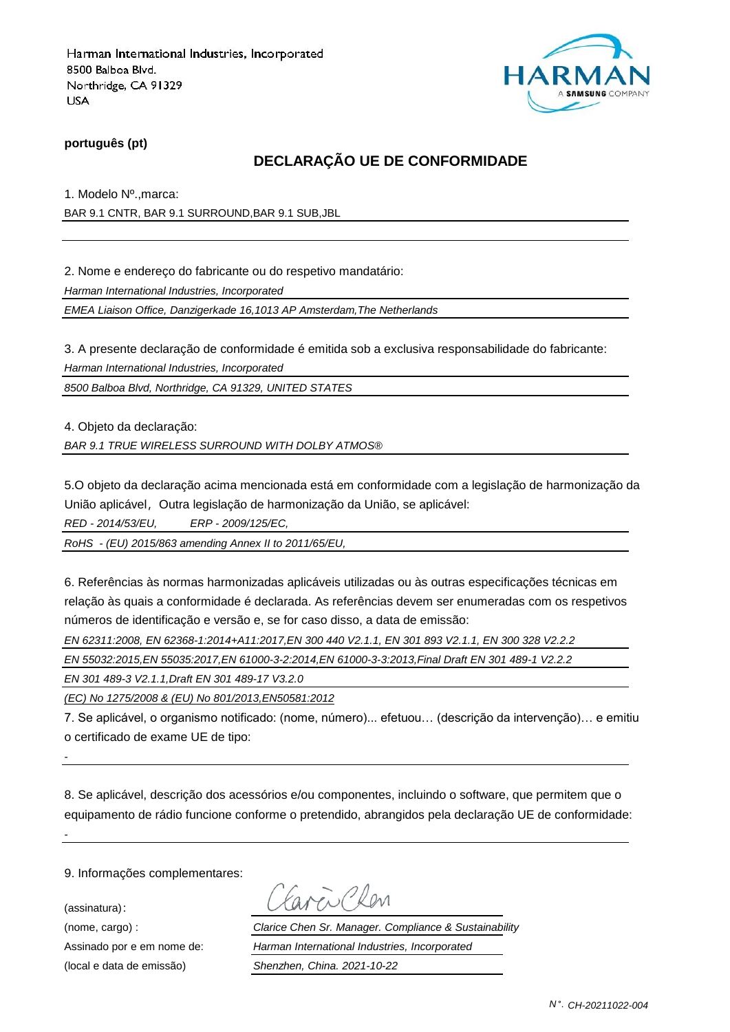

### **português (pt)**

### **DECLARAÇÃO UE DE CONFORMIDADE**

1. Modelo Nº.,marca:

BAR 9.1 CNTR, BAR 9.1 SURROUND,BAR 9.1 SUB,JBL

2. Nome e endereço do fabricante ou do respetivo mandatário:

*Harman International Industries, Incorporated*

*EMEA Liaison Office, Danzigerkade 16,1013 AP Amsterdam,The Netherlands*

3. A presente declaração de conformidade é emitida sob a exclusiva responsabilidade do fabricante:

*Harman International Industries, Incorporated*

*8500 Balboa Blvd, Northridge, CA 91329, UNITED STATES*

4. Objeto da declaração: *BAR 9.1 TRUE WIRELESS SURROUND WITH DOLBY ATMOS®*

5.O objeto da declaração acima mencionada está em conformidade com a legislação de harmonização da União aplicável, Outra legislação de harmonização da União, se aplicável:

*RED - 2014/53/EU, ERP - 2009/125/EC,*

*RoHS - (EU) 2015/863 amending Annex II to 2011/65/EU,*

6. Referências às normas harmonizadas aplicáveis utilizadas ou às outras especificações técnicas em relação às quais a conformidade é declarada. As referências devem ser enumeradas com os respetivos números de identificação e versão e, se for caso disso, a data de emissão:

*EN 62311:2008, EN 62368-1:2014+A11:2017,EN 300 440 V2.1.1, EN 301 893 V2.1.1, EN 300 328 V2.2.2*

*EN 55032:2015,EN 55035:2017,EN 61000-3-2:2014,EN 61000-3-3:2013,Final Draft EN 301 489-1 V2.2.2*

*EN 301 489-3 V2.1.1,Draft EN 301 489-17 V3.2.0*

*(EC) No 1275/2008 & (EU) No 801/2013,EN50581:2012*

7. Se aplicável, o organismo notificado: (nome, número)... efetuou… (descrição da intervenção)… e emitiu o certificado de exame UE de tipo:

8. Se aplicável, descrição dos acessórios e/ou componentes, incluindo o software, que permitem que o equipamento de rádio funcione conforme o pretendido, abrangidos pela declaração UE de conformidade:

9. Informações complementares:

(assinatura):

*-*

*-*

(nome, cargo) : *Clarice Chen Sr. Manager. Compliance & Sustainability* Assinado por e em nome de: *Harman International Industries, Incorporated* (local e data de emissão) *Shenzhen, China. 2021-10-22*